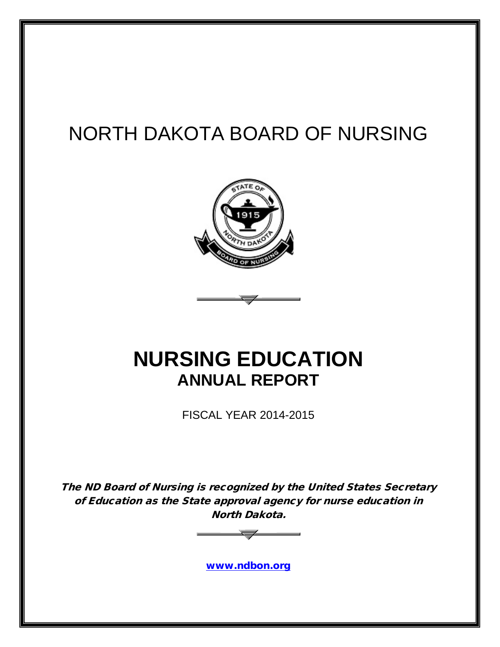# NORTH DAKOTA BOARD OF NURSING



# **NURSING EDUCATION ANNUAL REPORT**

FISCAL YEAR 2014-2015

The ND Board of Nursing is recognized by the United States Secretary of Education as the State approval agency for nurse education in North Dakota.



[www.ndbon.org](http://www.ndbon.org/)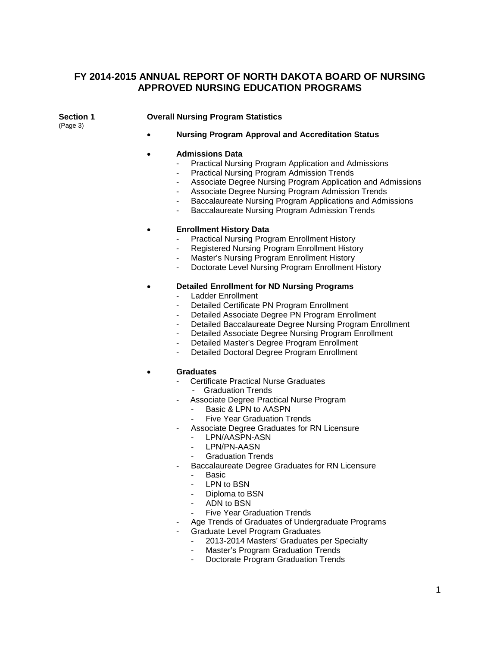### **FY 2014-2015 ANNUAL REPORT OF NORTH DAKOTA BOARD OF NURSING APPROVED NURSING EDUCATION PROGRAMS**

(Page 3)

#### **Section 1 Overall Nursing Program Statistics**

• **Nursing Program Approval and Accreditation Status**

#### • **Admissions Data**

- Practical Nursing Program Application and Admissions
- Practical Nursing Program Admission Trends
- Associate Degree Nursing Program Application and Admissions
- Associate Degree Nursing Program Admission Trends
- Baccalaureate Nursing Program Applications and Admissions
- Baccalaureate Nursing Program Admission Trends

#### • **Enrollment History Data**

- Practical Nursing Program Enrollment History
- Registered Nursing Program Enrollment History
- Master's Nursing Program Enrollment History
- Doctorate Level Nursing Program Enrollment History

#### • **Detailed Enrollment for ND Nursing Programs**

- Ladder Enrollment
- Detailed Certificate PN Program Enrollment
- Detailed Associate Degree PN Program Enrollment
- Detailed Baccalaureate Degree Nursing Program Enrollment
- Detailed Associate Degree Nursing Program Enrollment
- Detailed Master's Degree Program Enrollment
- Detailed Doctoral Degree Program Enrollment

#### • **Graduates**

- Certificate Practical Nurse Graduates
	- Graduation Trends
- Associate Degree Practical Nurse Program
	- Basic & LPN to AASPN
	- **Five Year Graduation Trends**
- Associate Degree Graduates for RN Licensure
	- LPN/AASPN-ASN
	- LPN/PN-AASN
	- Graduation Trends
- Baccalaureate Degree Graduates for RN Licensure
	- Basic
	- LPN to BSN
	- Diploma to BSN
	- ADN to BSN
	- Five Year Graduation Trends
- Age Trends of Graduates of Undergraduate Programs
- Graduate Level Program Graduates
	- 2013-2014 Masters' Graduates per Specialty
	- Master's Program Graduation Trends
	- Doctorate Program Graduation Trends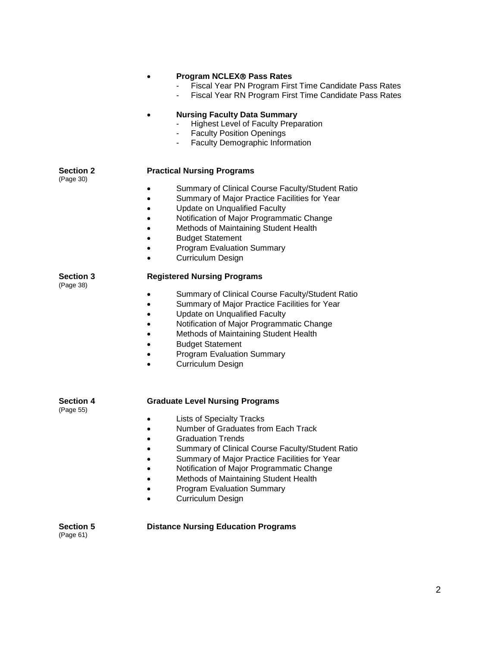|                               | <b>Program NCLEX® Pass Rates</b><br>Fiscal Year PN Program First Time Candidate Pass Rates<br>Fiscal Year RN Program First Time Candidate Pass Rates<br><b>Nursing Faculty Data Summary</b><br><b>Highest Level of Faculty Preparation</b><br>- Faculty Position Openings<br>Faculty Demographic Information<br>$\sim$                                          |
|-------------------------------|-----------------------------------------------------------------------------------------------------------------------------------------------------------------------------------------------------------------------------------------------------------------------------------------------------------------------------------------------------------------|
| <b>Section 2</b>              | <b>Practical Nursing Programs</b>                                                                                                                                                                                                                                                                                                                               |
| (Page 30)                     | Summary of Clinical Course Faculty/Student Ratio<br>Summary of Major Practice Facilities for Year<br><b>Update on Unqualified Faculty</b><br>Notification of Major Programmatic Change<br>Methods of Maintaining Student Health<br><b>Budget Statement</b><br><b>Program Evaluation Summary</b><br><b>Curriculum Design</b>                                     |
| <b>Section 3</b><br>(Page 38) | <b>Registered Nursing Programs</b>                                                                                                                                                                                                                                                                                                                              |
|                               | Summary of Clinical Course Faculty/Student Ratio<br>Summary of Major Practice Facilities for Year<br>Update on Unqualified Faculty<br>Notification of Major Programmatic Change<br>Methods of Maintaining Student Health<br><b>Budget Statement</b><br><b>Program Evaluation Summary</b><br><b>Curriculum Design</b>                                            |
| <b>Section 4</b>              | <b>Graduate Level Nursing Programs</b>                                                                                                                                                                                                                                                                                                                          |
| (Page 55)                     | <b>Lists of Specialty Tracks</b><br>Number of Graduates from Each Track<br><b>Graduation Trends</b><br>Summary of Clinical Course Faculty/Student Ratio<br>Summary of Major Practice Facilities for Year<br>Notification of Major Programmatic Change<br>Methods of Maintaining Student Health<br><b>Program Evaluation Summary</b><br><b>Curriculum Design</b> |
| <b>Section 5</b><br>(Page 61) | <b>Distance Nursing Education Programs</b>                                                                                                                                                                                                                                                                                                                      |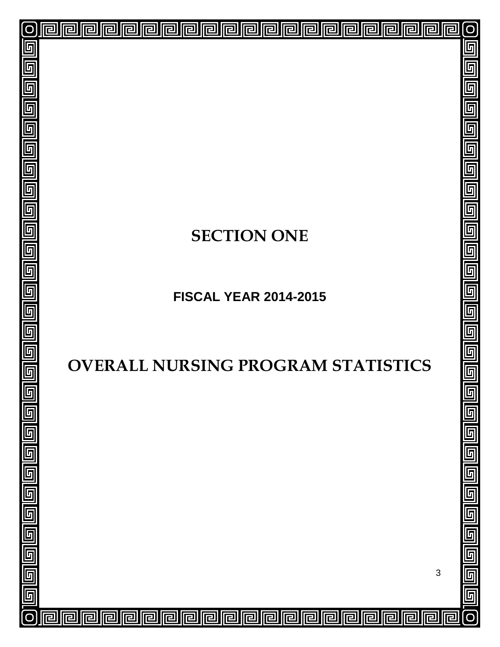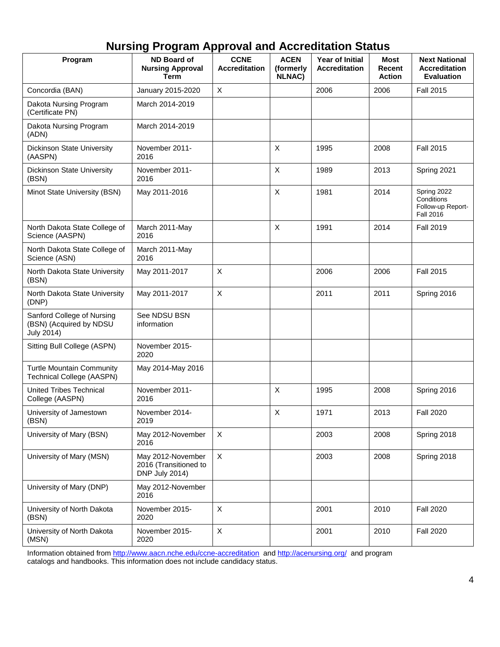## **Nursing Program Approval and Accreditation Status**

| Program                                                              | <b>ND Board of</b><br><b>Nursing Approval</b><br><b>Term</b> | <b>CCNE</b><br><b>Accreditation</b> | <b>ACEN</b><br>(formerly<br><b>NLNAC)</b> | Year of Initial<br><b>Accreditation</b> | <b>Most</b><br>Recent<br><b>Action</b> | <b>Next National</b><br><b>Accreditation</b><br><b>Evaluation</b>  |
|----------------------------------------------------------------------|--------------------------------------------------------------|-------------------------------------|-------------------------------------------|-----------------------------------------|----------------------------------------|--------------------------------------------------------------------|
| Concordia (BAN)                                                      | January 2015-2020                                            | X                                   |                                           | 2006                                    | 2006                                   | <b>Fall 2015</b>                                                   |
| Dakota Nursing Program<br>(Certificate PN)                           | March 2014-2019                                              |                                     |                                           |                                         |                                        |                                                                    |
| Dakota Nursing Program<br>(ADN)                                      | March 2014-2019                                              |                                     |                                           |                                         |                                        |                                                                    |
| Dickinson State University<br>(AASPN)                                | November 2011-<br>2016                                       |                                     | X                                         | 1995                                    | 2008                                   | <b>Fall 2015</b>                                                   |
| <b>Dickinson State University</b><br>(BSN)                           | November 2011-<br>2016                                       |                                     | X                                         | 1989                                    | 2013                                   | Spring 2021                                                        |
| Minot State University (BSN)                                         | May 2011-2016                                                |                                     | X                                         | 1981                                    | 2014                                   | Spring 2022<br>Conditions<br>Follow-up Report-<br><b>Fall 2016</b> |
| North Dakota State College of<br>Science (AASPN)                     | March 2011-May<br>2016                                       |                                     | X                                         | 1991                                    | 2014                                   | <b>Fall 2019</b>                                                   |
| North Dakota State College of<br>Science (ASN)                       | March 2011-May<br>2016                                       |                                     |                                           |                                         |                                        |                                                                    |
| North Dakota State University<br>(BSN)                               | May 2011-2017                                                | $\boldsymbol{\mathsf{X}}$           |                                           | 2006                                    | 2006                                   | <b>Fall 2015</b>                                                   |
| North Dakota State University<br>(DNP)                               | May 2011-2017                                                | $\boldsymbol{\mathsf{X}}$           |                                           | 2011                                    | 2011                                   | Spring 2016                                                        |
| Sanford College of Nursing<br>(BSN) (Acquired by NDSU<br>July 2014)  | See NDSU BSN<br>information                                  |                                     |                                           |                                         |                                        |                                                                    |
| Sitting Bull College (ASPN)                                          | November 2015-<br>2020                                       |                                     |                                           |                                         |                                        |                                                                    |
| <b>Turtle Mountain Community</b><br><b>Technical College (AASPN)</b> | May 2014-May 2016                                            |                                     |                                           |                                         |                                        |                                                                    |
| <b>United Tribes Technical</b><br>College (AASPN)                    | November 2011-<br>2016                                       |                                     | X                                         | 1995                                    | 2008                                   | Spring 2016                                                        |
| University of Jamestown<br>(BSN)                                     | November 2014-<br>2019                                       |                                     | X                                         | 1971                                    | 2013                                   | <b>Fall 2020</b>                                                   |
| University of Mary (BSN)                                             | May 2012-November<br>2016                                    | X                                   |                                           | 2003                                    | 2008                                   | Spring 2018                                                        |
| University of Mary (MSN)                                             | May 2012-November<br>2016 (Transitioned to<br>DNP July 2014) | X                                   |                                           | 2003                                    | 2008                                   | Spring 2018                                                        |
| University of Mary (DNP)                                             | May 2012-November<br>2016                                    |                                     |                                           |                                         |                                        |                                                                    |
| University of North Dakota<br>(BSN)                                  | November 2015-<br>2020                                       | X                                   |                                           | 2001                                    | 2010                                   | <b>Fall 2020</b>                                                   |
| University of North Dakota<br>(MSN)                                  | November 2015-<br>2020                                       | X                                   |                                           | 2001                                    | 2010                                   | <b>Fall 2020</b>                                                   |

Information obtained fro[m http://www.aacn.nche.edu/ccne-accreditation](http://www.aacn.nche.edu/ccne-accreditation) and<http://acenursing.org/> and program catalogs and handbooks. This information does not include candidacy status.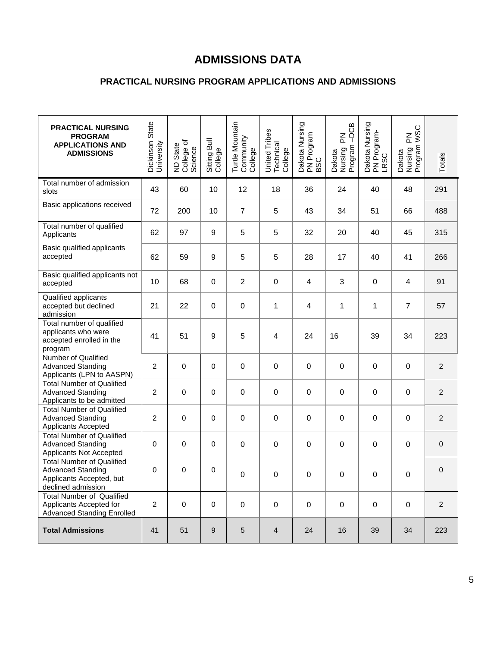## **ADMISSIONS DATA**

### **PRACTICAL NURSING PROGRAM APPLICATIONS AND ADMISSIONS**

| <b>PRACTICAL NURSING</b><br><b>PROGRAM</b><br><b>APPLICATIONS AND</b><br><b>ADMISSIONS</b>                     | Dickinson State<br>University | ND State<br>College of<br>Science | Sitting Bull<br>College | Turtle Mountain<br>Community<br>College | United Tribes<br>Technical<br>College | Dakota Nursing<br>PN Program<br>BSC | $-DCB$<br>집<br>Program<br>Dakota<br>Nursing | Dakota Nursing<br>PN Program-<br>LRSC | Dakota<br>Nursing PN<br>Program WSC | Totals           |
|----------------------------------------------------------------------------------------------------------------|-------------------------------|-----------------------------------|-------------------------|-----------------------------------------|---------------------------------------|-------------------------------------|---------------------------------------------|---------------------------------------|-------------------------------------|------------------|
| Total number of admission<br>slots                                                                             | 43                            | 60                                | 10                      | 12                                      | 18                                    | 36                                  | 24                                          | 40                                    | 48                                  | 291              |
| Basic applications received                                                                                    | 72                            | 200                               | 10                      | $\overline{7}$                          | $\,$ 5 $\,$                           | 43                                  | 34                                          | 51                                    | 66                                  | 488              |
| Total number of qualified<br>Applicants                                                                        | 62                            | 97                                | 9                       | 5                                       | $\,$ 5 $\,$                           | 32                                  | 20                                          | 40                                    | 45                                  | 315              |
| Basic qualified applicants<br>accepted                                                                         | 62                            | 59                                | 9                       | 5                                       | 5                                     | 28                                  | 17                                          | 40                                    | 41                                  | 266              |
| Basic qualified applicants not<br>accepted                                                                     | 10                            | 68                                | $\mathbf 0$             | $\overline{2}$                          | 0                                     | 4                                   | 3                                           | $\boldsymbol{0}$                      | $\overline{4}$                      | 91               |
| Qualified applicants<br>accepted but declined<br>admission                                                     | 21                            | 22                                | $\mathbf 0$             | $\boldsymbol{0}$                        | 1                                     | 4                                   | $\mathbf{1}$                                | 1                                     | $\overline{7}$                      | 57               |
| Total number of qualified<br>applicants who were<br>accepted enrolled in the<br>program                        | 41                            | 51                                | 9                       | 5                                       | 4                                     | 24                                  | 16                                          | 39                                    | 34                                  | 223              |
| Number of Qualified<br><b>Advanced Standing</b><br>Applicants (LPN to AASPN)                                   | $\overline{c}$                | 0                                 | 0                       | $\boldsymbol{0}$                        | 0                                     | $\boldsymbol{0}$                    | 0                                           | $\boldsymbol{0}$                      | $\pmb{0}$                           | $\boldsymbol{2}$ |
| <b>Total Number of Qualified</b><br><b>Advanced Standing</b><br>Applicants to be admitted                      | $\overline{2}$                | 0                                 | 0                       | $\boldsymbol{0}$                        | $\boldsymbol{0}$                      | $\boldsymbol{0}$                    | $\pmb{0}$                                   | 0                                     | $\pmb{0}$                           | $\overline{2}$   |
| <b>Total Number of Qualified</b><br><b>Advanced Standing</b><br>Applicants Accepted                            | $\overline{c}$                | 0                                 | 0                       | $\mathbf 0$                             | 0                                     | $\boldsymbol{0}$                    | 0                                           | 0                                     | 0                                   | $\overline{2}$   |
| <b>Total Number of Qualified</b><br><b>Advanced Standing</b><br>Applicants Not Accepted                        | 0                             | 0                                 | 0                       | $\boldsymbol{0}$                        | $\boldsymbol{0}$                      | $\boldsymbol{0}$                    | $\pmb{0}$                                   | $\boldsymbol{0}$                      | $\pmb{0}$                           | $\mathbf 0$      |
| <b>Total Number of Qualified</b><br><b>Advanced Standing</b><br>Applicants Accepted, but<br>declined admission | 0                             | 0                                 | 0                       | $\mathbf 0$                             | 0                                     | 0                                   | 0                                           | 0                                     | 0                                   | $\mathbf 0$      |
| <b>Total Number of Qualified</b><br>Applicants Accepted for<br><b>Advanced Standing Enrolled</b>               | $\overline{2}$                | $\mathbf 0$                       | $\pmb{0}$               | $\mathbf 0$                             | $\pmb{0}$                             | $\pmb{0}$                           | $\pmb{0}$                                   | $\mathbf 0$                           | $\mathbf 0$                         | $\overline{2}$   |
| <b>Total Admissions</b>                                                                                        | 41                            | 51                                | 9                       | $\sqrt{5}$                              | $\overline{\mathbf{4}}$               | 24                                  | 16                                          | 39                                    | 34                                  | 223              |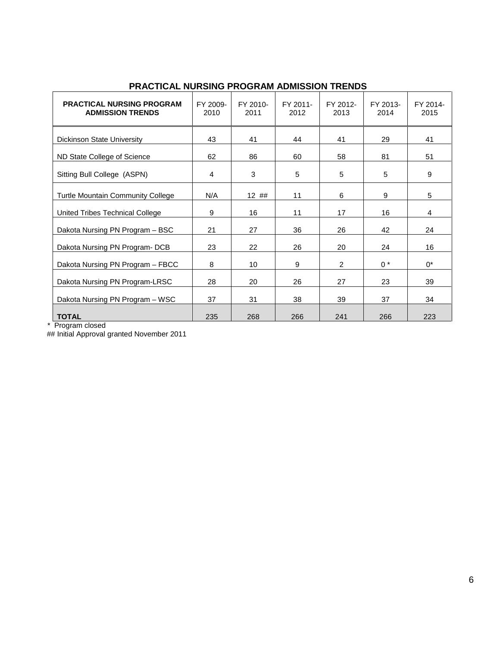| <b>PRACTICAL NURSING PROGRAM</b><br><b>ADMISSION TRENDS</b> | FY 2009-<br>2010 | FY 2010-<br>2011 | FY 2011-<br>2012 | FY 2012-<br>2013 | FY 2013-<br>2014 | FY 2014-<br>2015 |
|-------------------------------------------------------------|------------------|------------------|------------------|------------------|------------------|------------------|
| <b>Dickinson State University</b>                           | 43               | 41               | 44               | 41               | 29               | 41               |
| ND State College of Science                                 | 62               | 86               | 60               | 58               | 81               | 51               |
| Sitting Bull College (ASPN)                                 | 4                | 3                | 5                | 5                | 5                | 9                |
| <b>Turtle Mountain Community College</b>                    | N/A              | 12##             | 11               | 6                | 9                | 5                |
| United Tribes Technical College                             | 9                | 16               | 11               | 17               | 16               | 4                |
| Dakota Nursing PN Program - BSC                             | 21               | 27               | 36               | 26               | 42               | 24               |
| Dakota Nursing PN Program-DCB                               | 23               | 22               | 26               | 20               | 24               | 16               |
| Dakota Nursing PN Program - FBCC                            | 8                | 10               | 9                | $\overline{2}$   | $0^*$            | $0^*$            |
| Dakota Nursing PN Program-LRSC                              | 28               | 20               | 26               | 27               | 23               | 39               |
| Dakota Nursing PN Program - WSC                             | 37               | 31               | 38               | 39               | 37               | 34               |
| <b>TOTAL</b>                                                | 235              | 268              | 266              | 241              | 266              | 223              |

### **PRACTICAL NURSING PROGRAM ADMISSION TRENDS**

\* Program closed

## Initial Approval granted November 2011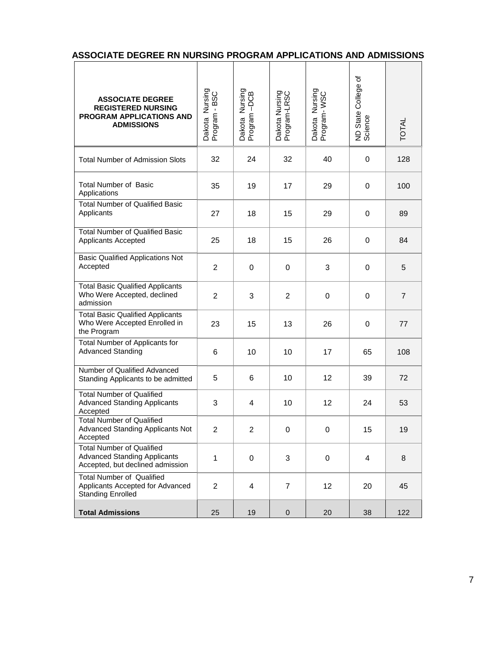| ASSOCIATE DEGREE RN NURSING PROGRAM APPLICATIONS AND ADMISSIONS |  |  |  |
|-----------------------------------------------------------------|--|--|--|
|                                                                 |  |  |  |

| <b>ASSOCIATE DEGREE</b><br><b>REGISTERED NURSING</b><br>PROGRAM APPLICATIONS AND<br><b>ADMISSIONS</b>       | Dakota Nursing<br>Program - BSC | Dakota Nursing<br>Program -DCB | Dakota Nursing<br>Program-LRSC | Dakota Nursing<br>Program-WSC | đ<br>ND State College<br>Science | <b>TOTAL</b>   |
|-------------------------------------------------------------------------------------------------------------|---------------------------------|--------------------------------|--------------------------------|-------------------------------|----------------------------------|----------------|
| <b>Total Number of Admission Slots</b>                                                                      | 32                              | 24                             | 32                             | 40                            | 0                                | 128            |
| <b>Total Number of Basic</b><br>Applications                                                                | 35                              | 19                             | 17                             | 29                            | 0                                | 100            |
| <b>Total Number of Qualified Basic</b><br>Applicants                                                        | 27                              | 18                             | 15                             | 29                            | 0                                | 89             |
| <b>Total Number of Qualified Basic</b><br>Applicants Accepted                                               | 25                              | 18                             | 15                             | 26                            | 0                                | 84             |
| <b>Basic Qualified Applications Not</b><br>Accepted                                                         | $\overline{c}$                  | 0                              | 0                              | 3                             | 0                                | 5              |
| <b>Total Basic Qualified Applicants</b><br>Who Were Accepted, declined<br>admission                         | 2                               | 3                              | $\overline{2}$                 | 0                             | 0                                | $\overline{7}$ |
| <b>Total Basic Qualified Applicants</b><br>Who Were Accepted Enrolled in<br>the Program                     | 23                              | 15                             | 13                             | 26                            | 0                                | 77             |
| Total Number of Applicants for<br><b>Advanced Standing</b>                                                  | 6                               | 10                             | 10                             | 17                            | 65                               | 108            |
| Number of Qualified Advanced<br>Standing Applicants to be admitted                                          | 5                               | 6                              | 10                             | 12 <sup>°</sup>               | 39                               | 72             |
| <b>Total Number of Qualified</b><br><b>Advanced Standing Applicants</b><br>Accepted                         | 3                               | 4                              | 10                             | 12                            | 24                               | 53             |
| <b>Total Number of Qualified</b><br>Advanced Standing Applicants Not<br>Accepted                            | $\overline{2}$                  | 2                              | 0                              | 0                             | 15                               | 19             |
| <b>Total Number of Qualified</b><br><b>Advanced Standing Applicants</b><br>Accepted, but declined admission | $\mathbf{1}$                    | 0                              | 3                              | $\mathbf 0$                   | 4                                | 8              |
| <b>Total Number of Qualified</b><br>Applicants Accepted for Advanced<br><b>Standing Enrolled</b>            | $\overline{2}$                  | 4                              | $\overline{7}$                 | 12 <sup>2</sup>               | 20                               | 45             |
| <b>Total Admissions</b>                                                                                     | 25                              | 19                             | $\pmb{0}$                      | 20                            | 38                               | 122            |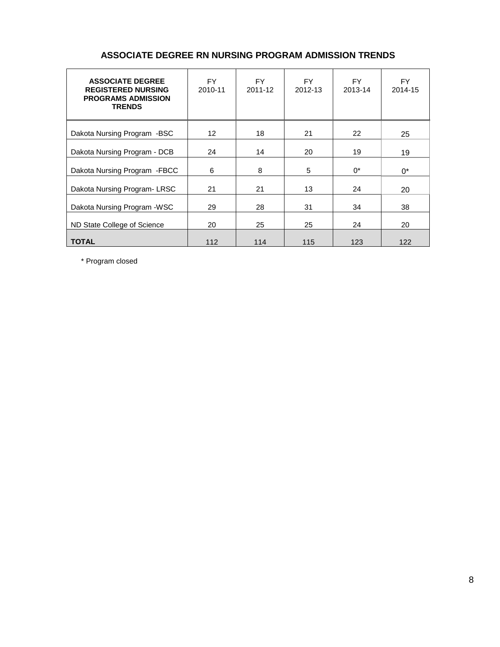| <b>ASSOCIATE DEGREE</b><br><b>REGISTERED NURSING</b><br><b>PROGRAMS ADMISSION</b><br><b>TRENDS</b> | FY.<br>2010-11 | FY.<br>2011-12 | FY.<br>2012-13 | FY.<br>2013-14 | FY.<br>2014-15 |
|----------------------------------------------------------------------------------------------------|----------------|----------------|----------------|----------------|----------------|
| Dakota Nursing Program -BSC                                                                        | 12             | 18             | 21             | 22             | 25             |
| Dakota Nursing Program - DCB                                                                       | 24             | 14             | 20             | 19             | 19             |
| Dakota Nursing Program - FBCC                                                                      | 6              | 8              | 5              | $0^*$          | $0^*$          |
| Dakota Nursing Program-LRSC                                                                        | 21             | 21             | 13             | 24             | 20             |
| Dakota Nursing Program - WSC                                                                       | 29             | 28             | 31             | 34             | 38             |
| ND State College of Science                                                                        | 20             | 25             | 25             | 24             | 20             |
| <b>TOTAL</b>                                                                                       | 112            | 114            | 115            | 123            | 122            |

### **ASSOCIATE DEGREE RN NURSING PROGRAM ADMISSION TRENDS**

\* Program closed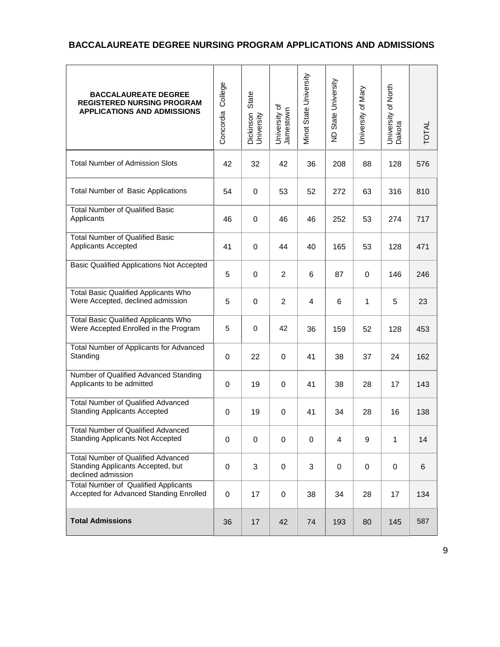### **BACCALAUREATE DEGREE NURSING PROGRAM APPLICATIONS AND ADMISSIONS**

| <b>BACCALAUREATE DEGREE</b><br><b>REGISTERED NURSING PROGRAM</b><br><b>APPLICATIONS AND ADMISSIONS</b> | College<br>Concordia | State<br>Dickinson<br>University | University of<br>Jamestown | Minot State University | ND State University | University of Mary | University of North<br>Dakota | <b>TOTAL</b> |
|--------------------------------------------------------------------------------------------------------|----------------------|----------------------------------|----------------------------|------------------------|---------------------|--------------------|-------------------------------|--------------|
| <b>Total Number of Admission Slots</b>                                                                 | 42                   | 32                               | 42                         | 36                     | 208                 | 88                 | 128                           | 576          |
| <b>Total Number of Basic Applications</b>                                                              | 54                   | 0                                | 53                         | 52                     | 272                 | 63                 | 316                           | 810          |
| <b>Total Number of Qualified Basic</b><br>Applicants                                                   | 46                   | 0                                | 46                         | 46                     | 252                 | 53                 | 274                           | 717          |
| <b>Total Number of Qualified Basic</b><br>Applicants Accepted                                          | 41                   | $\mathbf 0$                      | 44                         | 40                     | 165                 | 53                 | 128                           | 471          |
| <b>Basic Qualified Applications Not Accepted</b>                                                       | 5                    | $\mathbf 0$                      | $\overline{c}$             | 6                      | 87                  | 0                  | 146                           | 246          |
| <b>Total Basic Qualified Applicants Who</b><br>Were Accepted, declined admission                       | 5                    | $\mathbf 0$                      | $\overline{c}$             | 4                      | 6                   | 1                  | 5                             | 23           |
| <b>Total Basic Qualified Applicants Who</b><br>Were Accepted Enrolled in the Program                   | 5                    | $\mathbf 0$                      | 42                         | 36                     | 159                 | 52                 | 128                           | 453          |
| Total Number of Applicants for Advanced<br>Standing                                                    | $\boldsymbol{0}$     | 22                               | 0                          | 41                     | 38                  | 37                 | 24                            | 162          |
| Number of Qualified Advanced Standing<br>Applicants to be admitted                                     | 0                    | 19                               | 0                          | 41                     | 38                  | 28                 | 17                            | 143          |
| <b>Total Number of Qualified Advanced</b><br><b>Standing Applicants Accepted</b>                       | 0                    | 19                               | 0                          | 41                     | 34                  | 28                 | 16                            | 138          |
| Total Number of Qualified Advanced<br><b>Standing Applicants Not Accepted</b>                          | 0                    | 0                                | 0                          | 0                      | 4                   | 9                  | 1                             | 14           |
| <b>Total Number of Qualified Advanced</b><br>Standing Applicants Accepted, but<br>declined admission   | $\boldsymbol{0}$     | 3                                | 0                          | 3                      | 0                   | 0                  | $\pmb{0}$                     | 6            |
| <b>Total Number of Qualified Applicants</b><br>Accepted for Advanced Standing Enrolled                 | $\boldsymbol{0}$     | 17                               | 0                          | 38                     | 34                  | 28                 | 17                            | 134          |
| <b>Total Admissions</b>                                                                                | 36                   | 17                               | 42                         | 74                     | 193                 | 80                 | 145                           | 587          |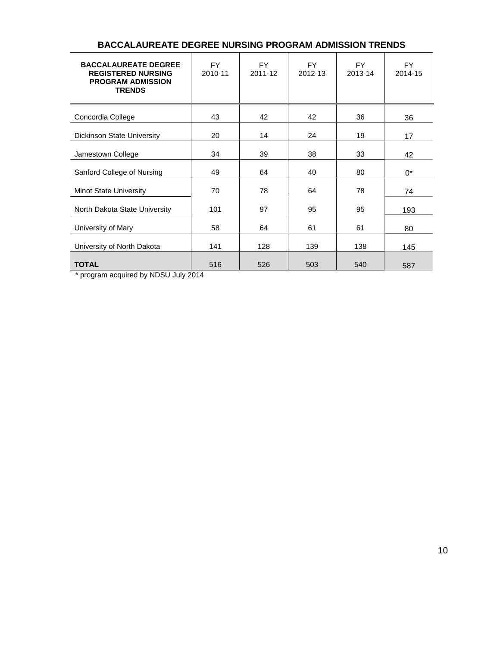| <b>BACCALAUREATE DEGREE</b><br><b>REGISTERED NURSING</b><br><b>PROGRAM ADMISSION</b><br><b>TRENDS</b> | FY.<br>2010-11 | FY.<br>2011-12 | FY.<br>2012-13 | FY.<br>2013-14 | FY.<br>2014-15 |
|-------------------------------------------------------------------------------------------------------|----------------|----------------|----------------|----------------|----------------|
| Concordia College                                                                                     | 43             | 42             | 42             | 36             | 36             |
| Dickinson State University                                                                            | 20             | 14             | 24             | 19             | 17             |
| Jamestown College                                                                                     | 34             | 39             | 38             | 33             | 42             |
| Sanford College of Nursing                                                                            | 49             | 64             | 40             | 80             | $0^*$          |
| <b>Minot State University</b>                                                                         | 70             | 78             | 64             | 78             | 74             |
| North Dakota State University                                                                         | 101            | 97             | 95             | 95             | 193            |
| University of Mary                                                                                    | 58             | 64             | 61             | 61             | 80             |
| University of North Dakota                                                                            | 141            | 128            | 139            | 138            | 145            |
| <b>TOTAL</b>                                                                                          | 516            | 526            | 503            | 540            | 587            |

### **BACCALAUREATE DEGREE NURSING PROGRAM ADMISSION TRENDS**

\* program acquired by NDSU July 2014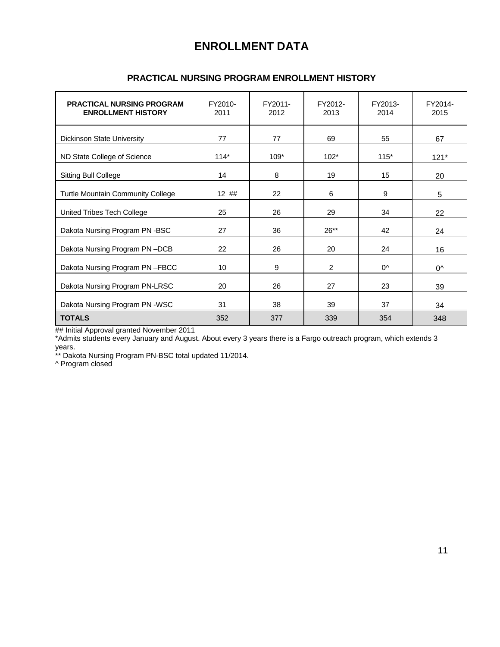### **ENROLLMENT DATA**

| <b>PRACTICAL NURSING PROGRAM</b><br><b>ENROLLMENT HISTORY</b> | FY2010-<br>2011 | FY2011-<br>2012 | FY2012-<br>2013 | FY2013-<br>2014 | FY2014-<br>2015 |
|---------------------------------------------------------------|-----------------|-----------------|-----------------|-----------------|-----------------|
| <b>Dickinson State University</b>                             | 77              | 77              | 69              | 55              | 67              |
| ND State College of Science                                   | $114*$          | $109*$          | $102*$          | $115*$          | $121*$          |
| <b>Sitting Bull College</b>                                   | 14              | 8               | 19              | 15              | 20              |
| Turtle Mountain Community College                             | $12$ ##         | 22              | 6               | 9               | 5               |
| United Tribes Tech College                                    | 25              | 26              | 29              | 34              | 22              |
| Dakota Nursing Program PN -BSC                                | 27              | 36              | $26**$          | 42              | 24              |
| Dakota Nursing Program PN-DCB                                 | 22              | 26              | 20              | 24              | 16              |
| Dakota Nursing Program PN-FBCC                                | 10              | 9               | 2               | $0^{\wedge}$    | $0^{\wedge}$    |
| Dakota Nursing Program PN-LRSC                                | 20              | 26              | 27              | 23              | 39              |
| Dakota Nursing Program PN -WSC                                | 31              | 38              | 39              | 37              | 34              |
| <b>TOTALS</b>                                                 | 352             | 377             | 339             | 354             | 348             |

### **PRACTICAL NURSING PROGRAM ENROLLMENT HISTORY**

## Initial Approval granted November 2011

\*Admits students every January and August. About every 3 years there is a Fargo outreach program, which extends 3 years.

\*\* Dakota Nursing Program PN-BSC total updated 11/2014.

^ Program closed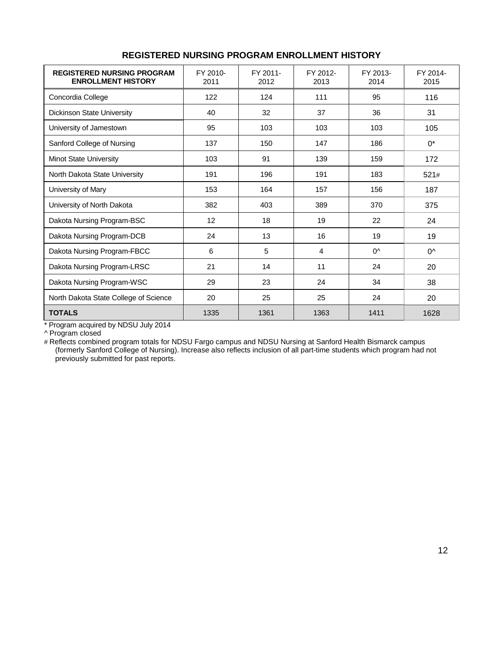| <b>REGISTERED NURSING PROGRAM</b><br><b>ENROLLMENT HISTORY</b> | FY 2010-<br>2011 | FY 2011-<br>2012 | FY 2012-<br>2013 | FY 2013-<br>2014 | FY 2014-<br>2015 |
|----------------------------------------------------------------|------------------|------------------|------------------|------------------|------------------|
| Concordia College                                              | 122              | 124              | 111              | 95               | 116              |
| <b>Dickinson State University</b>                              | 40               | 32               | 37               | 36               | 31               |
| University of Jamestown                                        | 95               | 103              | 103              | 103              | 105              |
| Sanford College of Nursing                                     | 137              | 150              | 147              | 186              | $0^*$            |
| Minot State University                                         | 103              | 91               | 139              | 159              | 172              |
| North Dakota State University                                  | 191              | 196              | 191              | 183              | 521#             |
| University of Mary                                             | 153              | 164              | 157              | 156              | 187              |
| University of North Dakota                                     | 382              | 403              | 389              | 370              | 375              |
| Dakota Nursing Program-BSC                                     | 12               | 18               | 19               | 22               | 24               |
| Dakota Nursing Program-DCB                                     | 24               | 13               | 16               | 19               | 19               |
| Dakota Nursing Program-FBCC                                    | 6                | 5                | 4                | $0^{\wedge}$     | $0^{\wedge}$     |
| Dakota Nursing Program-LRSC                                    | 21               | 14               | 11               | 24               | 20               |
| Dakota Nursing Program-WSC                                     | 29               | 23               | 24               | 34               | 38               |
| North Dakota State College of Science                          | 20               | 25               | 25               | 24               | 20               |
| <b>TOTALS</b>                                                  | 1335             | 1361             | 1363             | 1411             | 1628             |

### **REGISTERED NURSING PROGRAM ENROLLMENT HISTORY**

\* Program acquired by NDSU July 2014

^ Program closed

# Reflects combined program totals for NDSU Fargo campus and NDSU Nursing at Sanford Health Bismarck campus (formerly Sanford College of Nursing). Increase also reflects inclusion of all part-time students which program had not previously submitted for past reports.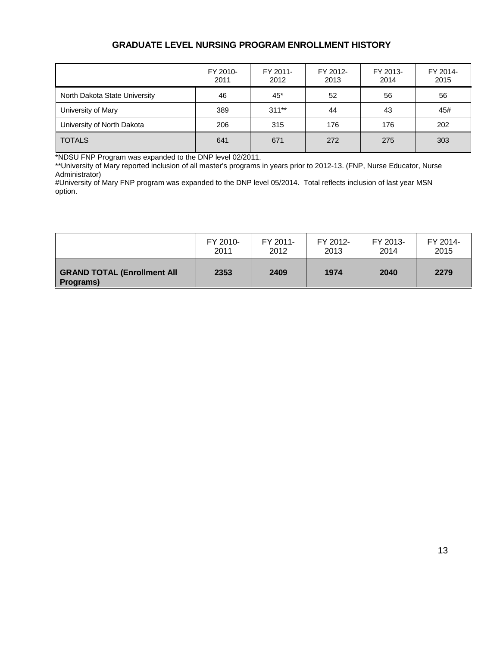### **GRADUATE LEVEL NURSING PROGRAM ENROLLMENT HISTORY**

|                               | FY 2010-<br>2011 | FY 2011-<br>2012 | FY 2012-<br>2013 | FY 2013-<br>2014 | FY 2014-<br>2015 |
|-------------------------------|------------------|------------------|------------------|------------------|------------------|
| North Dakota State University | 46               | 45*              | 52               | 56               | 56               |
| University of Mary            | 389              | $311***$         | 44               | 43               | 45#              |
| University of North Dakota    | 206              | 315              | 176              | 176              | 202              |
| <b>TOTALS</b>                 | 641              | 671              | 272              | 275              | 303              |

\*NDSU FNP Program was expanded to the DNP level 02/2011.

\*\*University of Mary reported inclusion of all master's programs in years prior to 2012-13. (FNP, Nurse Educator, Nurse Administrator)

#University of Mary FNP program was expanded to the DNP level 05/2014. Total reflects inclusion of last year MSN option.

|                                                 | FY 2010- | FY 2011- | FY 2012- | FY 2013- | FY 2014- |
|-------------------------------------------------|----------|----------|----------|----------|----------|
|                                                 | 2011     | 2012     | 2013     | 2014     | 2015     |
| <b>GRAND TOTAL (Enrollment All</b><br>Programs) | 2353     | 2409     | 1974     | 2040     | 2279     |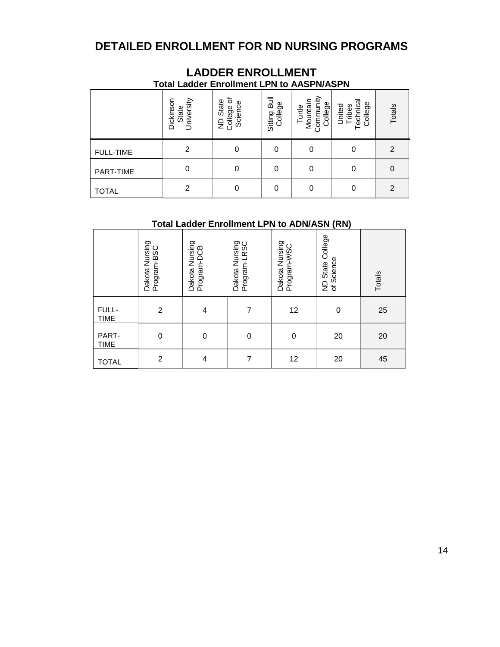### **DETAILED ENROLLMENT FOR ND NURSING PROGRAMS**

|                  |                                  | <b>Total Ladder Enrollment LPN to AASPN/ASPN</b>   |                         |                                            |                                         |                |
|------------------|----------------------------------|----------------------------------------------------|-------------------------|--------------------------------------------|-----------------------------------------|----------------|
|                  | Dickinson<br>University<br>State | ৳<br>State<br>Science<br>College<br>$\overline{z}$ | Sitting Bull<br>College | Turtle<br>Mountain<br>Community<br>College | Technica<br>College<br>United<br>Tribes | Totals         |
| <b>FULL-TIME</b> | 2                                | 0                                                  | 0                       |                                            | 0                                       | 2              |
| <b>PART-TIME</b> | $\Omega$                         | 0                                                  | 0                       |                                            | $\Omega$                                | 0              |
| <b>TOTAL</b>     | 2                                | 0                                                  | $\Omega$                |                                            | 0                                       | $\overline{2}$ |

# **LADDER ENROLLMENT**

### **Total Ladder Enrollment LPN to ADN/ASN (RN)**

|                      | Dakota Nursing<br>Program-BSC | Dakota Nursing<br>Program-DCB | Dakota Nursing<br>Program-LRSC | Dakota Nursing<br>Program-WSC | College<br>of Science<br><b>State</b><br>$\frac{1}{2}$ | Totals |
|----------------------|-------------------------------|-------------------------------|--------------------------------|-------------------------------|--------------------------------------------------------|--------|
| FULL-<br><b>TIME</b> | $\overline{c}$                | 4                             | 7                              | 12                            | $\mathbf 0$                                            | 25     |
| PART-<br><b>TIME</b> | $\mathbf 0$                   | $\mathbf 0$                   | 0                              | $\boldsymbol{0}$              | 20                                                     | 20     |
| <b>TOTAL</b>         | $\overline{c}$                | 4                             | 7                              | 12                            | 20                                                     | 45     |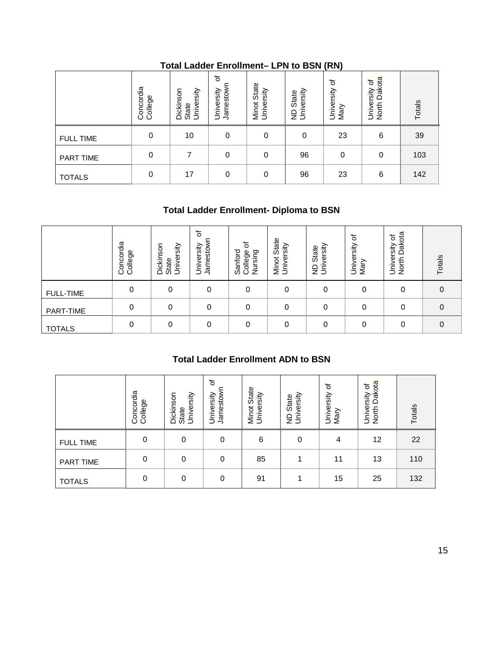|                  | Concordia<br>College | University<br>Dickinson<br>State | 'ত<br>Jamestown<br>University | State<br>Minot Stat<br>University | ND State<br>University | $\cdots$<br>৳<br>University<br>Mary | Dakota<br>৳<br>University<br>North Dak | Totals |
|------------------|----------------------|----------------------------------|-------------------------------|-----------------------------------|------------------------|-------------------------------------|----------------------------------------|--------|
| <b>FULL TIME</b> | 0                    | 10                               | 0                             | 0                                 | 0                      | 23                                  | 6                                      | 39     |
| PART TIME        | 0                    |                                  | 0                             | 0                                 | 96                     | $\mathbf 0$                         | 0                                      | 103    |
| <b>TOTALS</b>    | 0                    | 17                               | 0                             | 0                                 | 96                     | 23                                  | 6                                      | 142    |

### **Total Ladder Enrollment– LPN to BSN (RN)**

### **Total Ladder Enrollment- Diploma to BSN**

|                  | Concordia<br>College | Dickinson<br>University<br>State | ৳<br>Jamestown<br>University | 'ত<br>Sanford<br>College<br>Nursing | State<br>rsity<br>Minot<br>Univer | versity<br>State<br>Ś<br>$\mathsf{S}$ | ৳<br>University<br>Mary | Dakota<br>৳<br>University<br>North | Totals   |
|------------------|----------------------|----------------------------------|------------------------------|-------------------------------------|-----------------------------------|---------------------------------------|-------------------------|------------------------------------|----------|
| <b>FULL-TIME</b> | 0                    |                                  | 0                            | 0                                   | 0                                 | 0                                     | 0                       | 0                                  | 0        |
| PART-TIME        | 0                    | $\Omega$                         | 0                            | 0                                   | 0                                 | 0                                     | $\Omega$                | 0                                  | $\Omega$ |
| <b>TOTALS</b>    | 0                    |                                  | 0                            | 0                                   | 0                                 | 0                                     | 0                       | 0                                  | 0        |

### **Total Ladder Enrollment ADN to BSN**

|                  | Concordia<br>College | Dickinson<br>University<br>State | ৳<br>Jamestown<br>University               | College of<br>Sanford<br>Nursing          | Minot State<br>University | University<br>ND State | University of<br>Mary         | North Dakota<br>University of |  |
|------------------|----------------------|----------------------------------|--------------------------------------------|-------------------------------------------|---------------------------|------------------------|-------------------------------|-------------------------------|--|
| <b>ILL-TIME</b>  | $\pmb{0}$            | $\boldsymbol{0}$                 | $\pmb{0}$                                  | $\pmb{0}$                                 | $\boldsymbol{0}$          | $\pmb{0}$              | $\mathbf 0$                   | $\boldsymbol{0}$              |  |
| <b>RT-TIME</b>   | $\mathbf 0$          | $\boldsymbol{0}$                 | $\mathbf 0$                                | $\mathbf 0$                               | $\mathbf 0$               | $\mathbf 0$            | $\mathbf 0$                   | $\boldsymbol{0}$              |  |
| <b>TALS</b>      | $\boldsymbol{0}$     | $\mathbf 0$                      | $\boldsymbol{0}$                           | $\mathbf 0$                               | $\boldsymbol{0}$          | $\pmb{0}$              | $\boldsymbol{0}$              | $\pmb{0}$                     |  |
|                  |                      |                                  |                                            | <b>Total Ladder Enrollment ADN to BSN</b> |                           |                        |                               |                               |  |
|                  | Concordia<br>College | Dickinson<br>State               | đ<br>Jamestown<br>University<br>University | Minot State<br>University                 | ND State<br>University    | University of<br>Mary  | North Dakota<br>University of | Totals                        |  |
| <b>FULL TIME</b> | $\mathbf 0$          | $\mathbf 0$                      | $\mathbf 0$                                | 6                                         | $\boldsymbol{0}$          | $\overline{4}$         | 12                            | 22                            |  |
| PART TIME        | $\mathbf 0$          | $\mathbf 0$                      | $\mathbf 0$                                | 85                                        | 1                         | 11                     | 13                            | 110                           |  |
| <b>TOTALS</b>    | $\mathbf 0$          | $\mathbf 0$                      | $\boldsymbol{0}$                           | 91                                        | 1                         | 15                     | 25                            | 132                           |  |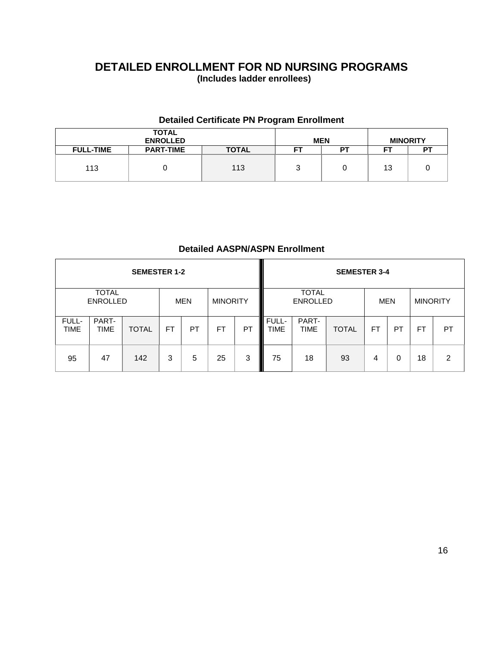### **DETAILED ENROLLMENT FOR ND NURSING PROGRAMS (Includes ladder enrollees)**

### **Detailed Certificate PN Program Enrollment**

|                  | <b>TOTAL</b><br><b>ENROLLED</b> |              |    | <b>MEN</b> | <b>MINORITY</b> |    |  |
|------------------|---------------------------------|--------------|----|------------|-----------------|----|--|
| <b>FULL-TIME</b> | <b>PART-TIME</b>                | <b>TOTAL</b> | FT | דם         | --              | D. |  |
| 113              |                                 | 113          | ບ  |            | 13              |    |  |

### **Detailed AASPN/ASPN Enrollment**

|                      |                                 | <b>SEMESTER 1-2</b> |           |            |                 |           |                      |                                 | <b>SEMESTER 3-4</b> |            |    |                 |    |
|----------------------|---------------------------------|---------------------|-----------|------------|-----------------|-----------|----------------------|---------------------------------|---------------------|------------|----|-----------------|----|
|                      | <b>TOTAL</b><br><b>ENROLLED</b> |                     |           | <b>MEN</b> | <b>MINORITY</b> |           |                      | <b>TOTAL</b><br><b>ENROLLED</b> |                     | <b>MEN</b> |    | <b>MINORITY</b> |    |
| FULL-<br><b>TIME</b> | PART-<br><b>TIME</b>            | <b>TOTAL</b>        | <b>FT</b> | <b>PT</b>  | <b>FT</b>       | <b>PT</b> | FULL-<br><b>TIME</b> | PART-<br><b>TIME</b>            | <b>TOTAL</b>        | <b>FT</b>  | РT | FT              | PT |
| 95                   | 47                              | 142                 | 3         | 5          | 25              | 3         | 75                   | 18                              | 93                  | 4          | 0  | 18              | 2  |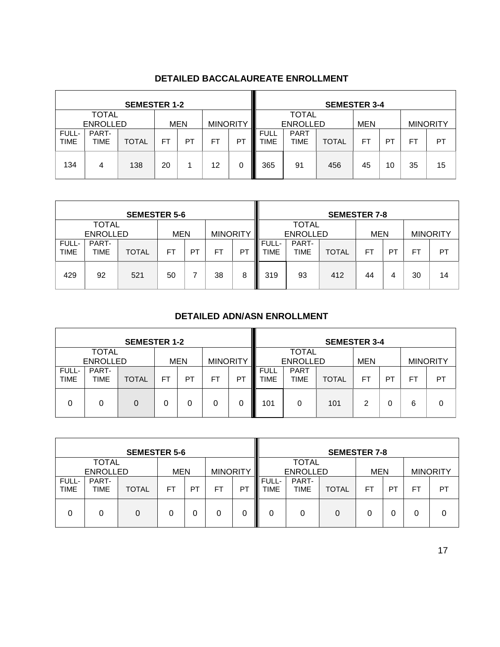|                      |                 | <b>SEMESTER 1-2</b> |    |            |                 |    |                            |                                 | <b>SEMESTER 3-4</b> |    |                 |    |    |
|----------------------|-----------------|---------------------|----|------------|-----------------|----|----------------------------|---------------------------------|---------------------|----|-----------------|----|----|
| <b>TOTAL</b>         |                 |                     |    |            |                 |    |                            | <b>TOTAL</b><br><b>ENROLLED</b> |                     |    |                 |    |    |
|                      | <b>ENROLLED</b> |                     |    | <b>MEN</b> | <b>MINORITY</b> |    |                            | <b>MEN</b>                      |                     |    | <b>MINORITY</b> |    |    |
| FULL-<br><b>TIME</b> | PART-<br>TIME   | <b>TOTAL</b>        | FT | PТ         | FT              | P1 | <b>FULL</b><br><b>TIME</b> | <b>PART</b><br><b>TIME</b>      | <b>TOTAL</b>        | FT | PT              | FT | PT |
| 134                  | 4               | 138                 | 20 |            | 12              | 0  | 365                        | 91                              | 456                 | 45 | 10              | 35 | 15 |

### **DETAILED BACCALAUREATE ENROLLMENT**

|                      |                                 | <b>SEMESTER 5-6</b> |     |    |                 | <b>SEMESTER 7-8</b> |                                 |               |              |            |           |                 |    |
|----------------------|---------------------------------|---------------------|-----|----|-----------------|---------------------|---------------------------------|---------------|--------------|------------|-----------|-----------------|----|
|                      | <b>TOTAL</b><br><b>ENROLLED</b> |                     | MEN |    | <b>MINORITY</b> |                     | <b>TOTAL</b><br><b>ENROLLED</b> |               |              | <b>MEN</b> |           | <b>MINORITY</b> |    |
| FULL-<br><b>TIME</b> | PART-<br>TIME                   | <b>TOTAL</b>        | FT  | PT | <b>FT</b>       | PT                  | FULL-<br><b>TIME</b>            | PART-<br>TIME | <b>TOTAL</b> | FT         | <b>PT</b> | FT.             | PT |
| 429                  | 92                              | 521                 | 50  |    | 38              | 8                   | 319                             | 93            | 412          | 44         | 4         | 30              | 14 |

### **DETAILED ADN/ASN ENROLLMENT**

|                      |                                                                  | <b>SEMESTER 1-2</b> |    |    |    |    | <b>SEMESTER 3-4</b>                           |                            |              |    |          |     |                 |
|----------------------|------------------------------------------------------------------|---------------------|----|----|----|----|-----------------------------------------------|----------------------------|--------------|----|----------|-----|-----------------|
|                      | <b>TOTAL</b><br><b>ENROLLED</b><br><b>MINORITY</b><br><b>MEN</b> |                     |    |    |    |    | <b>TOTAL</b><br><b>ENROLLED</b><br><b>MEN</b> |                            |              |    |          |     | <b>MINORITY</b> |
| FULL-<br><b>TIME</b> | PART-<br><b>TIME</b>                                             | <b>TOTAL</b>        | FT | РT | FT | P1 | <b>FULL</b><br><b>TIME</b>                    | <b>PART</b><br><b>TIME</b> | <b>TOTAL</b> | FT | PT       | FT. | PT              |
| $\Omega$             | 0                                                                | 0                   | 0  |    |    | 0  | 101                                           | 0                          | 101          | 2  | $\Omega$ | 6   | 0               |

|                      |                                                                  | <b>SEMESTER 5-6</b> |           |           | <b>SEMESTER 7-8</b> |    |               |                                               |              |    |                |    |                 |
|----------------------|------------------------------------------------------------------|---------------------|-----------|-----------|---------------------|----|---------------|-----------------------------------------------|--------------|----|----------------|----|-----------------|
|                      | <b>TOTAL</b><br><b>ENROLLED</b><br><b>MINORITY</b><br><b>MEN</b> |                     |           |           |                     |    |               | <b>TOTAL</b><br><b>ENROLLED</b><br><b>MEN</b> |              |    |                |    | <b>MINORITY</b> |
| FULL-<br><b>TIME</b> | PART-<br><b>TIME</b>                                             | <b>TOTAL</b>        | <b>FT</b> | <b>PT</b> | FT                  | PI | FULL-<br>TIME | PART-<br>TIME                                 | <b>TOTAL</b> | FT | P <sub>1</sub> | FT | PT              |
| 0                    | 0                                                                | 0                   | 0         | 0         | 0                   | 0  | 0             |                                               | 0            | 0  | 0              |    | 0               |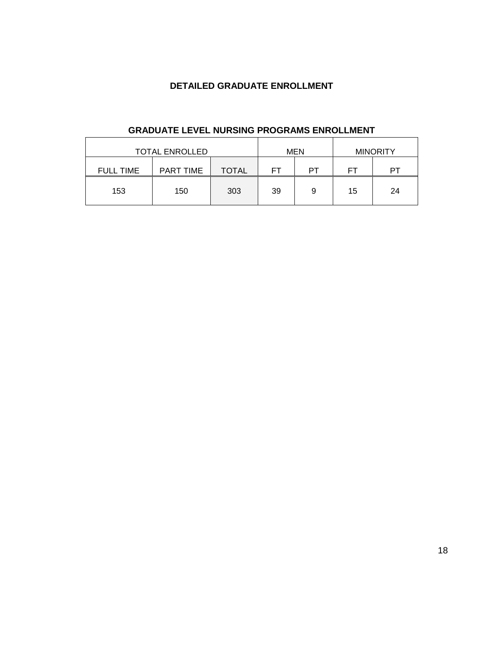### **DETAILED GRADUATE ENROLLMENT**

| <b>TOTAL ENROLLED</b> |           |              |    | MEN | <b>MINORITY</b> |    |
|-----------------------|-----------|--------------|----|-----|-----------------|----|
| <b>FULL TIME</b>      | PART TIME | <b>TOTAL</b> | FТ | PТ  | FТ              | PТ |
| 153                   | 150       | 303          | 39 | 9   | 15              | 24 |
|                       |           |              |    |     |                 |    |

### **GRADUATE LEVEL NURSING PROGRAMS ENROLLMENT**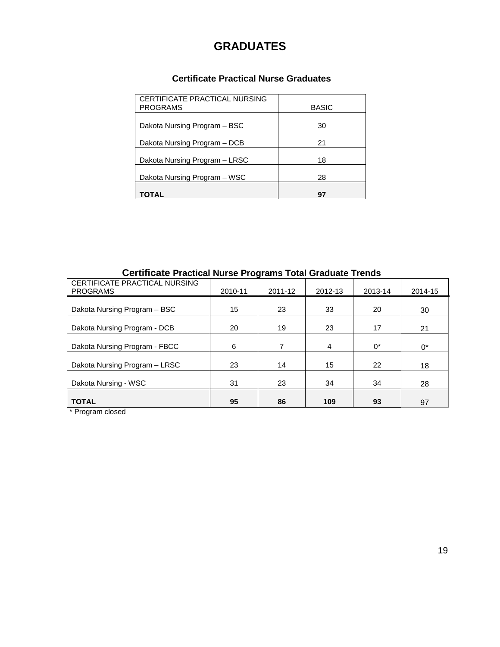### **GRADUATES**

### **Certificate Practical Nurse Graduates**

| CERTIFICATE PRACTICAL NURSING<br><b>PROGRAMS</b> | <b>BASIC</b> |
|--------------------------------------------------|--------------|
| Dakota Nursing Program - BSC                     | 30           |
| Dakota Nursing Program - DCB                     | 21           |
| Dakota Nursing Program - LRSC                    | 18           |
| Dakota Nursing Program – WSC                     | 28           |
| <b>TOTAL</b>                                     | 97           |

### **Certificate Practical Nurse Programs Total Graduate Trends**

| CERTIFICATE PRACTICAL NURSING<br><b>PROGRAMS</b> | 2010-11 | 2011-12 | 2012-13 | 2013-14 | 2014-15 |
|--------------------------------------------------|---------|---------|---------|---------|---------|
| Dakota Nursing Program - BSC                     | 15      | 23      | 33      | 20      | 30      |
| Dakota Nursing Program - DCB                     | 20      | 19      | 23      | 17      | 21      |
| Dakota Nursing Program - FBCC                    | 6       | 7       | 4       | $0^*$   | $0^*$   |
| Dakota Nursing Program - LRSC                    | 23      | 14      | 15      | 22      | 18      |
| Dakota Nursing - WSC                             | 31      | 23      | 34      | 34      | 28      |
| <b>TOTAL</b>                                     | 95      | 86      | 109     | 93      | 97      |

\* Program closed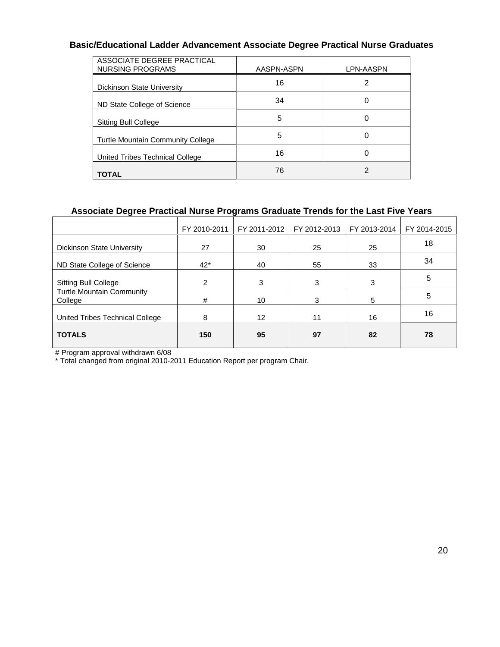### **Basic/Educational Ladder Advancement Associate Degree Practical Nurse Graduates**

| ASSOCIATE DEGREE PRACTICAL<br>NURSING PROGRAMS | AASPN-ASPN | LPN-AASPN |
|------------------------------------------------|------------|-----------|
| Dickinson State University                     | 16         |           |
| ND State College of Science                    | 34         | 0         |
| Sitting Bull College                           | 5          | 0         |
| <b>Turtle Mountain Community College</b>       | 5          | 0         |
| United Tribes Technical College                | 16         | 0         |
| <b>TOTAL</b>                                   | 76         | 2         |

### **Associate Degree Practical Nurse Programs Graduate Trends for the Last Five Years**

|                | FY 2011-2012 | FY 2012-2013 | FY 2013-2014 | FY 2014-2015 |
|----------------|--------------|--------------|--------------|--------------|
| 27             | 30           | 25           | 25           | 18           |
| $42*$          | 40           | 55           | 33           | 34           |
| $\overline{2}$ | 3            | 3            | 3            | 5            |
| #              | 10           | 3            | 5            | 5            |
| 8              | 12           | 11           | 16           | 16           |
| 150            | 95           | 97           | 82           | 78           |
|                |              |              |              |              |

# Program approval withdrawn 6/08

\* Total changed from original 2010-2011 Education Report per program Chair.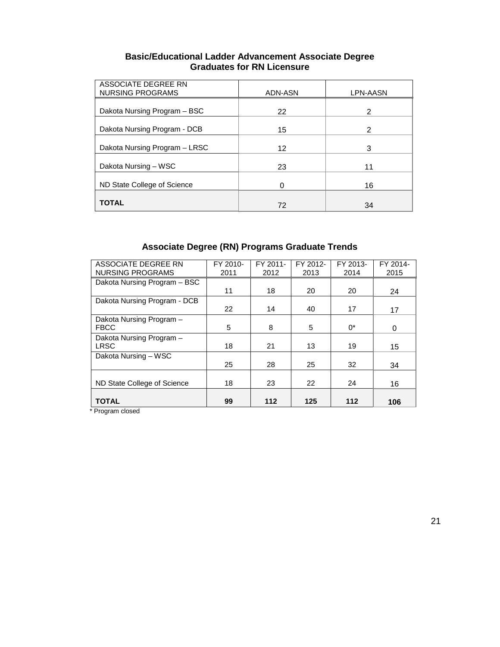| <b>Basic/Educational Ladder Advancement Associate Degree</b> |
|--------------------------------------------------------------|
| <b>Graduates for RN Licensure</b>                            |

| ASSOCIATE DEGREE RN<br><b>NURSING PROGRAMS</b> | ADN-ASN | LPN-AASN |
|------------------------------------------------|---------|----------|
| Dakota Nursing Program - BSC                   | 22      | 2        |
| Dakota Nursing Program - DCB                   | 15      | 2        |
| Dakota Nursing Program - LRSC                  | 12      | 3        |
| Dakota Nursing - WSC                           | 23      | 11       |
| ND State College of Science                    | 0       | 16       |
| <b>TOTAL</b>                                   | 72      | 34       |

### **Associate Degree (RN) Programs Graduate Trends**

| ASSOCIATE DEGREE RN          | FY 2010- | FY 2011- | FY 2012- | FY 2013- | FY 2014- |
|------------------------------|----------|----------|----------|----------|----------|
| <b>NURSING PROGRAMS</b>      | 2011     | 2012     | 2013     | 2014     | 2015     |
| Dakota Nursing Program - BSC |          |          |          |          |          |
|                              | 11       | 18       | 20       | 20       | 24       |
| Dakota Nursing Program - DCB |          |          |          |          |          |
|                              | 22       | 14       | 40       | 17       | 17       |
| Dakota Nursing Program -     |          |          |          |          |          |
| <b>FBCC</b>                  | 5        | 8        | 5        | $0^*$    | 0        |
| Dakota Nursing Program -     |          |          |          |          |          |
| <b>LRSC</b>                  | 18       | 21       | 13       | 19       | 15       |
| Dakota Nursing - WSC         |          |          |          |          |          |
|                              | 25       | 28       | 25       | 32       | 34       |
|                              |          |          |          |          |          |
| ND State College of Science  | 18       | 23       | 22       | 24       | 16       |
|                              |          |          |          |          |          |
| <b>TOTAL</b>                 | 99       | 112      | 125      | 112      | 106      |

\* Program closed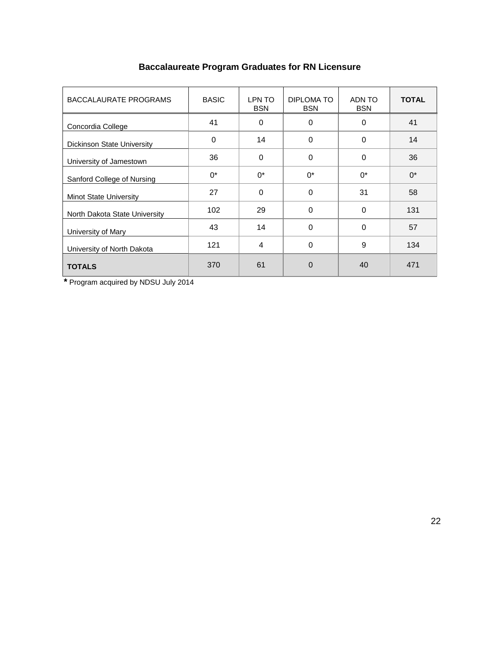| <b>BACCALAURATE PROGRAMS</b>      | <b>BASIC</b> | LPN TO<br><b>BSN</b> | DIPLOMA TO<br><b>BSN</b> | ADN TO<br><b>BSN</b> | <b>TOTAL</b> |
|-----------------------------------|--------------|----------------------|--------------------------|----------------------|--------------|
| Concordia College                 | 41           | $\mathbf 0$          | 0                        | 0                    | 41           |
| <b>Dickinson State University</b> | $\mathbf 0$  | 14                   | $\Omega$                 | 0                    | 14           |
| University of Jamestown           | 36           | $\Omega$             | $\Omega$                 | 0                    | 36           |
| Sanford College of Nursing        | $0^*$        | $0^*$                | $0^*$                    | $0^*$                | $0^*$        |
| <b>Minot State University</b>     | 27           | $\Omega$             | $\Omega$                 | 31                   | 58           |
| North Dakota State University     | 102          | 29                   | $\Omega$                 | $\mathbf 0$          | 131          |
| University of Mary                | 43           | 14                   | $\Omega$                 | $\Omega$             | 57           |
| University of North Dakota        | 121          | $\overline{4}$       | $\Omega$                 | 9                    | 134          |
| <b>TOTALS</b>                     | 370          | 61                   | $\Omega$                 | 40                   | 471          |

## **Baccalaureate Program Graduates for RN Licensure**

 **\*** Program acquired by NDSU July 2014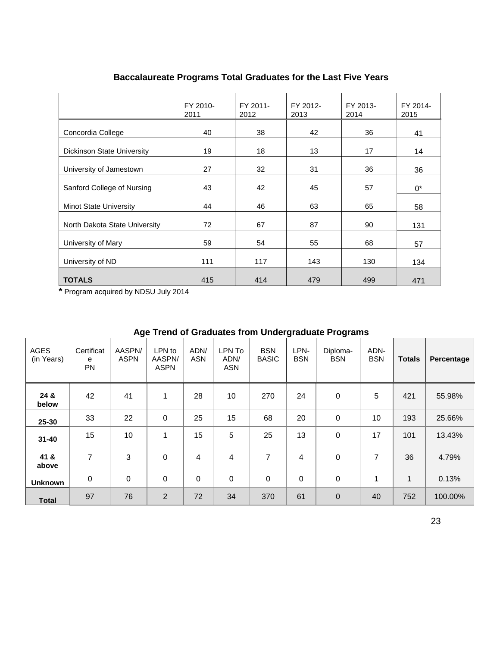|                                   | FY 2010-<br>2011 | FY 2011-<br>2012 | FY 2012-<br>2013 | FY 2013-<br>2014 | FY 2014-<br>2015 |
|-----------------------------------|------------------|------------------|------------------|------------------|------------------|
| Concordia College                 | 40               | 38               | 42               | 36               | 41               |
| <b>Dickinson State University</b> | 19               | 18               | 13               | 17               | 14               |
| University of Jamestown           | 27               |                  | 31               | 36               | 36               |
| Sanford College of Nursing        | 43               | 42               | 45               | 57               | 0*               |
| <b>Minot State University</b>     | 44               | 46               | 63               | 65               | 58               |
| North Dakota State University     | 72               | 67               | 87               | 90               | 131              |
| University of Mary                | 59               | 54               | 55               | 68               | 57               |
| University of ND                  | 111              | 117              | 143              | 130              | 134              |
| <b>TOTALS</b>                     | 415              | 414              | 479              | 499              | 471              |

### **Baccalaureate Programs Total Graduates for the Last Five Years**

**\*** Program acquired by NDSU July 2014

|                    | Age Trend or Oraquates from Ondergraduate Frograms |                       |                                 |                    |                              |                            |                    |                        |                    |               |            |
|--------------------|----------------------------------------------------|-----------------------|---------------------------------|--------------------|------------------------------|----------------------------|--------------------|------------------------|--------------------|---------------|------------|
| AGES<br>(in Years) | Certificat<br>e<br><b>PN</b>                       | AASPN/<br><b>ASPN</b> | LPN to<br>AASPN/<br><b>ASPN</b> | ADN/<br><b>ASN</b> | LPN To<br>ADN/<br><b>ASN</b> | <b>BSN</b><br><b>BASIC</b> | LPN-<br><b>BSN</b> | Diploma-<br><b>BSN</b> | ADN-<br><b>BSN</b> | <b>Totals</b> | Percentage |
| 24 &<br>below      | 42                                                 | 41                    | 1                               | 28                 | 10                           | 270                        | 24                 | $\pmb{0}$              | 5                  | 421           | 55.98%     |
| 25-30              | 33                                                 | 22                    | $\mathbf 0$                     | 25                 | 15                           | 68                         | 20                 | 0                      | 10                 | 193           | 25.66%     |
| $31 - 40$          | 15                                                 | 10                    | 1                               | 15                 | 5                            | 25                         | 13                 | $\pmb{0}$              | 17                 | 101           | 13.43%     |
| 41 &<br>above      | 7                                                  | 3                     | $\mathbf 0$                     | 4                  | 4                            | 7                          | 4                  | 0                      | 7                  | 36            | 4.79%      |
| <b>Unknown</b>     | $\mathbf 0$                                        | $\mathbf 0$           | $\mathbf 0$                     | $\Omega$           | $\mathbf 0$                  | $\mathbf 0$                | $\mathbf 0$        | 0                      |                    | 1             | 0.13%      |
| <b>Total</b>       | 97                                                 | 76                    | $\overline{2}$                  | 72                 | 34                           | 370                        | 61                 | $\mathbf 0$            | 40                 | 752           | 100.00%    |

### **Age Trend of Graduates from Undergraduate Programs**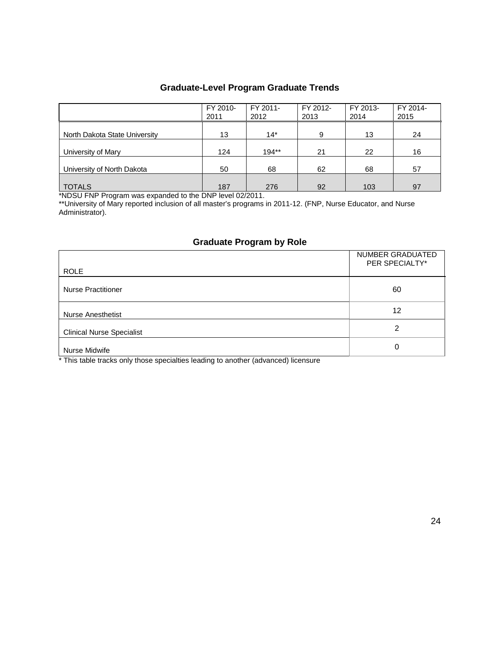## **Graduate-Level Program Graduate Trends**

|                               | FY 2010-<br>2011 | FY 2011-<br>2012 | FY 2012-<br>2013 | FY 2013-<br>2014 | FY 2014-<br>2015 |
|-------------------------------|------------------|------------------|------------------|------------------|------------------|
| North Dakota State University | 13               | $14*$            | 9                | 13               | 24               |
| University of Mary            | 124              | $194**$          | 21               | 22               | 16               |
| University of North Dakota    | 50               | 68               | 62               | 68               | 57               |
| <b>TOTALS</b>                 | 187              | 276              | 92               | 103              | 97               |

\*NDSU FNP Program was expanded to the DNP level 02/2011.

\*\*University of Mary reported inclusion of all master's programs in 2011-12. (FNP, Nurse Educator, and Nurse Administrator).

### **Graduate Program by Role**

| <b>ROLE</b>                      | NUMBER GRADUATED<br>PER SPECIALTY* |
|----------------------------------|------------------------------------|
| <b>Nurse Practitioner</b>        | 60                                 |
| <b>Nurse Anesthetist</b>         | 12                                 |
| <b>Clinical Nurse Specialist</b> | 2                                  |
| Nurse Midwife                    | 0                                  |

\* This table tracks only those specialties leading to another (advanced) licensure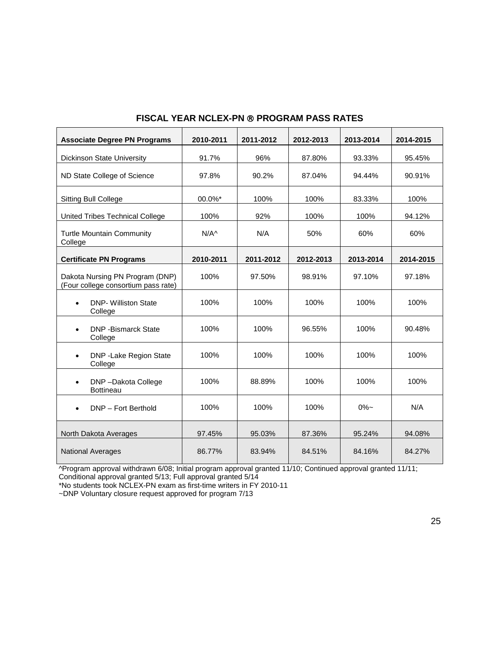| <b>Associate Degree PN Programs</b>                                    | 2010-2011 | 2011-2012 | 2012-2013 | 2013-2014 | 2014-2015 |
|------------------------------------------------------------------------|-----------|-----------|-----------|-----------|-----------|
| Dickinson State University                                             | 91.7%     | 96%       | 87.80%    | 93.33%    | 95.45%    |
| ND State College of Science                                            | 97.8%     | 90.2%     | 87.04%    | 94.44%    | 90.91%    |
| Sitting Bull College                                                   | 00.0%*    | 100%      | 100%      | 83.33%    | 100%      |
| United Tribes Technical College                                        | 100%      | 92%       | 100%      | 100%      | 94.12%    |
| <b>Turtle Mountain Community</b><br>College                            | $N/A^$    | N/A       | 50%       | 60%       | 60%       |
| <b>Certificate PN Programs</b>                                         | 2010-2011 | 2011-2012 | 2012-2013 | 2013-2014 | 2014-2015 |
| Dakota Nursing PN Program (DNP)<br>(Four college consortium pass rate) | 100%      | 97.50%    | 98.91%    | 97.10%    | 97.18%    |
| <b>DNP- Williston State</b><br>College                                 | 100%      | 100%      | 100%      | 100%      | 100%      |
| <b>DNP</b> - Bismarck State<br>College                                 | 100%      | 100%      | 96.55%    | 100%      | 90.48%    |
| DNP - Lake Region State<br>College                                     | 100%      | 100%      | 100%      | 100%      | 100%      |
| DNP-Dakota College<br><b>Bottineau</b>                                 | 100%      | 88.89%    | 100%      | 100%      | 100%      |
| DNP - Fort Berthold                                                    | 100%      | 100%      | 100%      | $0\%$ ~   | N/A       |
| North Dakota Averages                                                  | 97.45%    | 95.03%    | 87.36%    | 95.24%    | 94.08%    |
| <b>National Averages</b>                                               | 86.77%    | 83.94%    | 84.51%    | 84.16%    | 84.27%    |

### **FISCAL YEAR NCLEX-PN ® PROGRAM PASS RATES**

^Program approval withdrawn 6/08; Initial program approval granted 11/10; Continued approval granted 11/11; Conditional approval granted 5/13; Full approval granted 5/14

\*No students took NCLEX-PN exam as first-time writers in FY 2010-11

~DNP Voluntary closure request approved for program 7/13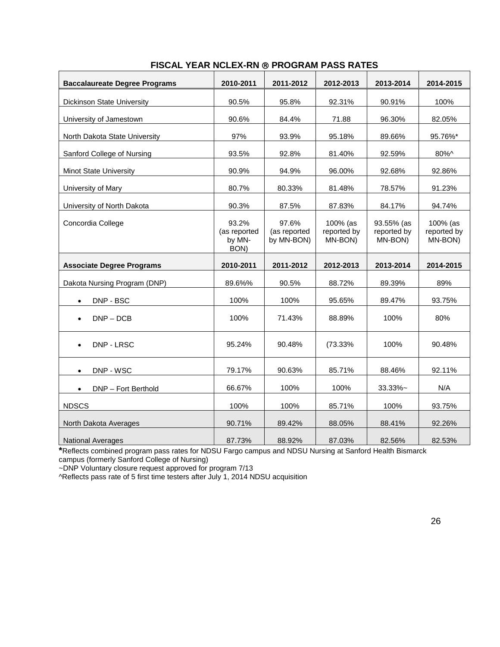| <b>Baccalaureate Degree Programs</b> | 2010-2011                               | 2011-2012                           | 2012-2013                          | 2013-2014                            | 2014-2015                          |
|--------------------------------------|-----------------------------------------|-------------------------------------|------------------------------------|--------------------------------------|------------------------------------|
| <b>Dickinson State University</b>    | 90.5%                                   | 95.8%                               | 92.31%                             | 90.91%                               | 100%                               |
| University of Jamestown              | 90.6%                                   | 84.4%                               | 71.88                              | 96.30%                               | 82.05%                             |
| North Dakota State University        | 97%                                     | 93.9%                               | 95.18%                             | 89.66%                               | 95.76%*                            |
| Sanford College of Nursing           | 93.5%                                   | 92.8%                               | 81.40%                             | 92.59%                               | 80%^                               |
| <b>Minot State University</b>        | 90.9%                                   | 94.9%                               | 96.00%                             | 92.68%                               | 92.86%                             |
| University of Mary                   | 80.7%                                   | 80.33%                              | 81.48%                             | 78.57%                               | 91.23%                             |
| University of North Dakota           | 90.3%                                   | 87.5%                               | 87.83%                             | 84.17%                               | 94.74%                             |
| Concordia College                    | 93.2%<br>(as reported<br>by MN-<br>BON) | 97.6%<br>(as reported<br>by MN-BON) | 100% (as<br>reported by<br>MN-BON) | 93.55% (as<br>reported by<br>MN-BON) | 100% (as<br>reported by<br>MN-BON) |
| <b>Associate Degree Programs</b>     | 2010-2011                               | 2011-2012                           | 2012-2013                          | 2013-2014                            | 2014-2015                          |
| Dakota Nursing Program (DNP)         | 89.6%%                                  | 90.5%                               | 88.72%                             | 89.39%                               | 89%                                |
| DNP - BSC<br>$\bullet$               | 100%                                    | 100%                                | 95.65%                             | 89.47%                               | 93.75%                             |
| $DNP - DCB$                          | 100%                                    | 71.43%                              | 88.89%                             | 100%                                 | 80%                                |
| DNP - LRSC                           | 95.24%                                  | 90.48%                              | (73.33%                            | 100%                                 | 90.48%                             |
| DNP - WSC<br>$\bullet$               | 79.17%                                  | 90.63%                              | 85.71%                             | 88.46%                               | 92.11%                             |
| DNP - Fort Berthold<br>$\bullet$     | 66.67%                                  | 100%                                | 100%                               | 33.33%~                              | N/A                                |
| <b>NDSCS</b>                         | 100%                                    | 100%                                | 85.71%                             | 100%                                 | 93.75%                             |
| North Dakota Averages                | 90.71%                                  | 89.42%                              | 88.05%                             | 88.41%                               | 92.26%                             |
| <b>National Averages</b>             | 87.73%                                  | 88.92%                              | 87.03%                             | 82.56%                               | 82.53%                             |

#### **FISCAL YEAR NCLEX-RN PROGRAM PASS RATES**

**\***Reflects combined program pass rates for NDSU Fargo campus and NDSU Nursing at Sanford Health Bismarck campus (formerly Sanford College of Nursing)

~DNP Voluntary closure request approved for program 7/13

^Reflects pass rate of 5 first time testers after July 1, 2014 NDSU acquisition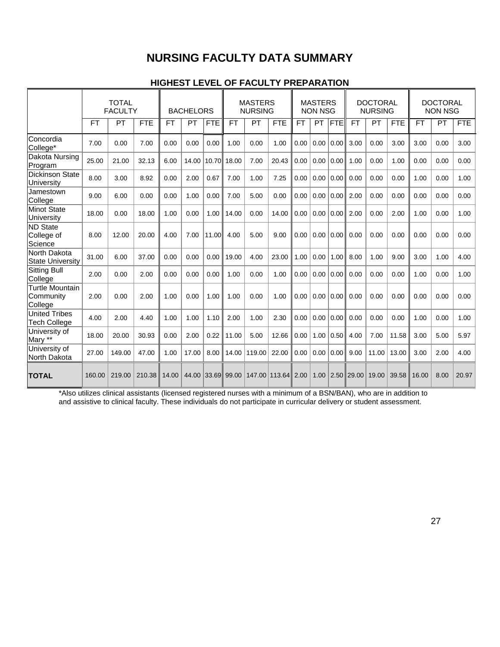### **NURSING FACULTY DATA SUMMARY**

### **HIGHEST LEVEL OF FACULTY PREPARATION**

|                                                | <b>TOTAL</b><br><b>FACULTY</b> |           | <b>BACHELORS</b> |           | <b>MASTERS</b><br><b>NURSING</b> |            | <b>MASTERS</b><br><b>NON NSG</b> |        | <b>DOCTORAL</b><br><b>NURSING</b> |           | <b>DOCTORAL</b><br><b>NON NSG</b> |            |           |       |            |       |      |            |
|------------------------------------------------|--------------------------------|-----------|------------------|-----------|----------------------------------|------------|----------------------------------|--------|-----------------------------------|-----------|-----------------------------------|------------|-----------|-------|------------|-------|------|------------|
|                                                | FT                             | <b>PT</b> | <b>FTE</b>       | <b>FT</b> | PT                               | <b>FTE</b> | <b>FT</b>                        | PT     | <b>FTE</b>                        | <b>FT</b> | <b>PT</b>                         | <b>FTE</b> | <b>FT</b> | PT    | <b>FTE</b> | FT    | PT   | <b>FTE</b> |
| Concordia<br>College*                          | 7.00                           | 0.00      | 7.00             | 0.00      | 0.00                             | 0.00       | 1.00                             | 0.00   | 1.00                              | 0.00      | 0.00                              | 0.00       | 3.00      | 0.00  | 3.00       | 3.00  | 0.00 | 3.00       |
| Dakota Nursing<br>Program                      | 25.00                          | 21.00     | 32.13            | 6.00      | 14.00                            |            | 10.70 18.00                      | 7.00   | 20.43                             | 0.00      | 0.00                              | 0.00       | 1.00      | 0.00  | 1.00       | 0.00  | 0.00 | 0.00       |
| <b>Dickinson State</b><br>University           | 8.00                           | 3.00      | 8.92             | 0.00      | 2.00                             | 0.67       | 7.00                             | 1.00   | 7.25                              | 0.00      | 0.00                              | 0.00       | 0.00      | 0.00  | 0.00       | 1.00  | 0.00 | 1.00       |
| Jamestown<br>College                           | 9.00                           | 6.00      | 0.00             | 0.00      | 1.00                             | 0.00       | 7.00                             | 5.00   | 0.00                              | 0.00      | 0.00                              | 0.00       | 2.00      | 0.00  | 0.00       | 0.00  | 0.00 | 0.00       |
| Minot State<br>University                      | 18.00                          | 0.00      | 18.00            | 1.00      | 0.00                             | 1.00       | 14.00                            | 0.00   | 14.00                             | 0.00      | 0.00                              | 0.00       | 2.00      | 0.00  | 2.00       | 1.00  | 0.00 | 1.00       |
| <b>ND</b> State<br>College of<br>Science       | 8.00                           | 12.00     | 20.00            | 4.00      | 7.00                             | 11.00      | 4.00                             | 5.00   | 9.00                              | 0.00      | 0.00                              | 0.00       | 0.00      | 0.00  | 0.00       | 0.00  | 0.00 | 0.00       |
| North Dakota<br><b>State University</b>        | 31.00                          | 6.00      | 37.00            | 0.00      | 0.00                             | 0.00       | 19.00                            | 4.00   | 23.00                             | 1.00      | 0.00                              | 1.00       | 8.00      | 1.00  | 9.00       | 3.00  | 1.00 | 4.00       |
| <b>Sitting Bull</b><br>College                 | 2.00                           | 0.00      | 2.00             | 0.00      | 0.00                             | 0.00       | 1.00                             | 0.00   | 1.00                              | 0.00      | 0.00                              | 0.00       | 0.00      | 0.00  | 0.00       | 1.00  | 0.00 | 1.00       |
| <b>Turtle Mountain</b><br>Community<br>College | 2.00                           | 0.00      | 2.00             | 1.00      | 0.00                             | 1.00       | 1.00                             | 0.00   | 1.00                              | 0.00      | 0.00                              | 0.00       | 0.00      | 0.00  | 0.00       | 0.00  | 0.00 | 0.00       |
| <b>United Tribes</b><br><b>Tech College</b>    | 4.00                           | 2.00      | 4.40             | 1.00      | 1.00                             | 1.10       | 2.00                             | 1.00   | 2.30                              | 0.00      | 0.00                              | 0.00       | 0.00      | 0.00  | 0.00       | 1.00  | 0.00 | 1.00       |
| University of<br>Mary                          | 18.00                          | 20.00     | 30.93            | 0.00      | 2.00                             | 0.22       | 11.00                            | 5.00   | 12.66                             | 0.00      | 1.00                              | 0.50       | 4.00      | 7.00  | 11.58      | 3.00  | 5.00 | 5.97       |
| University of<br>North Dakota                  | 27.00                          | 149.00    | 47.00            | 1.00      | 17.00                            | 8.00       | 14.00                            | 119.00 | 22.00                             | 0.00      | 0.00                              | 0.00       | 9.00      | 11.00 | 13.00      | 3.00  | 2.00 | 4.00       |
| <b>TOTAL</b>                                   | 160.00                         | 219.00    | 210.38           | 14.00     |                                  |            | 44.00 33.69 99.00                |        | 147.00 113.64 2.00                |           | 1.00                              | 2.50       | 29.00     | 19.00 | 39.58      | 16.00 | 8.00 | 20.97      |

\*Also utilizes clinical assistants (licensed registered nurses with a minimum of a BSN/BAN), who are in addition to and assistive to clinical faculty. These individuals do not participate in curricular delivery or student assessment.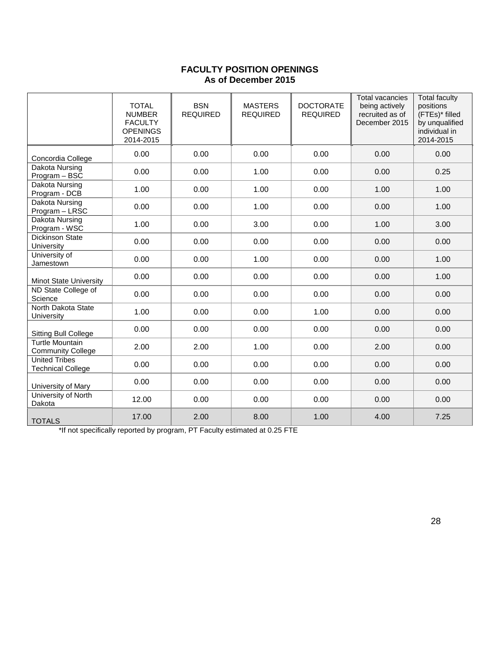### **FACULTY POSITION OPENINGS As of December 2015**

|                                                    | <b>TOTAL</b><br><b>NUMBER</b><br><b>FACULTY</b><br><b>OPENINGS</b><br>2014-2015 | <b>BSN</b><br><b>REQUIRED</b> | <b>MASTERS</b><br><b>REQUIRED</b> | <b>DOCTORATE</b><br><b>REQUIRED</b> | <b>Total vacancies</b><br>being actively<br>recruited as of<br>December 2015 | <b>Total faculty</b><br>positions<br>(FTEs)* filled<br>by unqualified<br>individual in<br>2014-2015 |
|----------------------------------------------------|---------------------------------------------------------------------------------|-------------------------------|-----------------------------------|-------------------------------------|------------------------------------------------------------------------------|-----------------------------------------------------------------------------------------------------|
| Concordia College                                  | 0.00                                                                            | 0.00                          | 0.00                              | 0.00                                | 0.00                                                                         | 0.00                                                                                                |
| Dakota Nursing<br>Program - BSC                    | 0.00                                                                            | 0.00                          | 1.00                              | 0.00                                | 0.00                                                                         | 0.25                                                                                                |
| Dakota Nursing<br>Program - DCB                    | 1.00                                                                            | 0.00                          | 1.00                              | 0.00                                | 1.00                                                                         | 1.00                                                                                                |
| Dakota Nursing<br>Program - LRSC                   | 0.00                                                                            | 0.00                          | 1.00                              | 0.00                                | 0.00                                                                         | 1.00                                                                                                |
| Dakota Nursing<br>Program - WSC                    | 1.00                                                                            | 0.00                          | 3.00                              | 0.00                                | 1.00                                                                         | 3.00                                                                                                |
| <b>Dickinson State</b><br>University               | 0.00                                                                            | 0.00                          | 0.00                              | 0.00                                | 0.00                                                                         | 0.00                                                                                                |
| University of<br>Jamestown                         | 0.00                                                                            | 0.00                          | 1.00                              | 0.00                                | 0.00                                                                         | 1.00                                                                                                |
| <b>Minot State University</b>                      | 0.00                                                                            | 0.00                          | 0.00                              | 0.00                                | 0.00                                                                         | 1.00                                                                                                |
| ND State College of<br>Science                     | 0.00                                                                            | 0.00                          | 0.00                              | 0.00                                | 0.00                                                                         | 0.00                                                                                                |
| North Dakota State<br>University                   | 1.00                                                                            | 0.00                          | 0.00                              | 1.00                                | 0.00                                                                         | 0.00                                                                                                |
| Sitting Bull College                               | 0.00                                                                            | 0.00                          | 0.00                              | 0.00                                | 0.00                                                                         | 0.00                                                                                                |
| <b>Turtle Mountain</b><br><b>Community College</b> | 2.00                                                                            | 2.00                          | 1.00                              | 0.00                                | 2.00                                                                         | 0.00                                                                                                |
| <b>United Tribes</b><br><b>Technical College</b>   | 0.00                                                                            | 0.00                          | 0.00                              | 0.00                                | 0.00                                                                         | 0.00                                                                                                |
| University of Mary                                 | 0.00                                                                            | 0.00                          | 0.00                              | 0.00                                | 0.00                                                                         | 0.00                                                                                                |
| University of North<br>Dakota                      | 12.00                                                                           | 0.00                          | 0.00                              | 0.00                                | 0.00                                                                         | 0.00                                                                                                |
| <b>TOTALS</b>                                      | 17.00                                                                           | 2.00                          | 8.00                              | 1.00                                | 4.00                                                                         | 7.25                                                                                                |

\*If not specifically reported by program, PT Faculty estimated at 0.25 FTE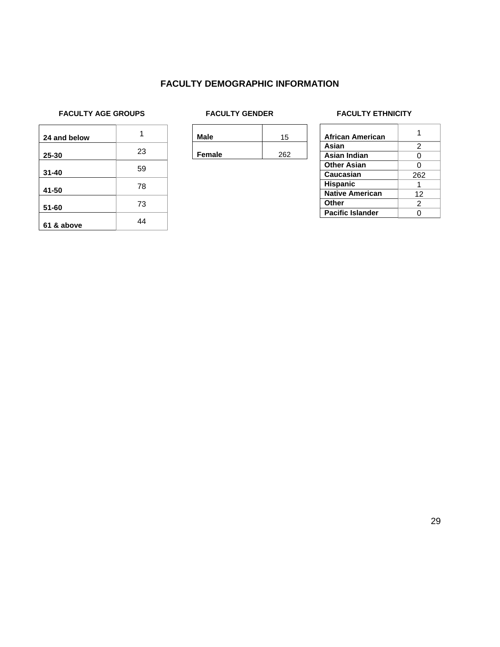### **FACULTY DEMOGRAPHIC INFORMATION**

#### FACULTY AGE GROUPS **FACULTY GENDER** FACULTY FACULTY ETHNICITY

| 24 and below |    |
|--------------|----|
| 25-30        | 23 |
| $31 - 40$    | 59 |
| 41-50        | 78 |
| $51 - 60$    | 73 |
| 61 & above   | 44 |

**Male** 15

**Female** 262

| <b>African American</b> |     |
|-------------------------|-----|
| Asian                   | 2   |
| Asian Indian            | Ω   |
| <b>Other Asian</b>      |     |
| <b>Caucasian</b>        | 262 |
| <b>Hispanic</b>         |     |
| <b>Native American</b>  | 12  |
| <b>Other</b>            | 2   |
| <b>Pacific Islander</b> |     |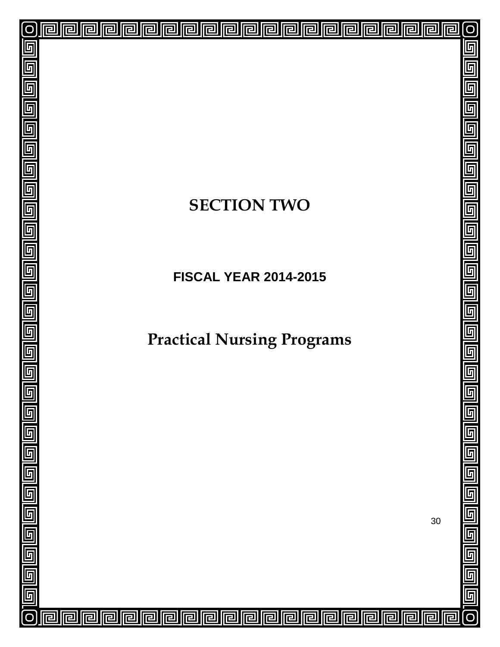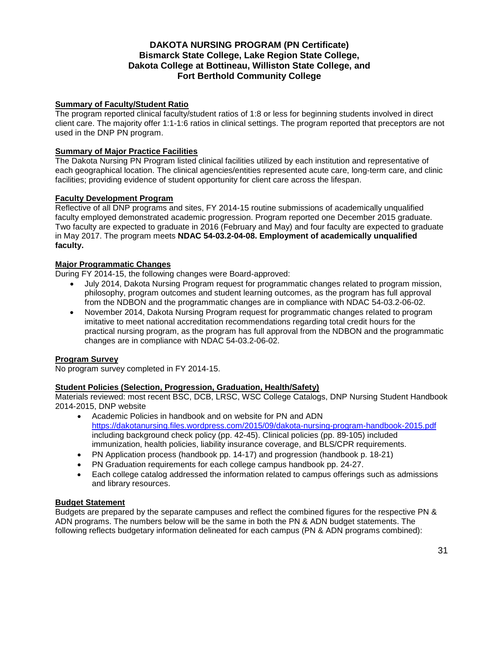### **DAKOTA NURSING PROGRAM (PN Certificate) Bismarck State College, Lake Region State College, Dakota College at Bottineau, Williston State College, and Fort Berthold Community College**

#### **Summary of Faculty/Student Ratio**

The program reported clinical faculty/student ratios of 1:8 or less for beginning students involved in direct client care. The majority offer 1:1-1:6 ratios in clinical settings. The program reported that preceptors are not used in the DNP PN program.

#### **Summary of Major Practice Facilities**

The Dakota Nursing PN Program listed clinical facilities utilized by each institution and representative of each geographical location. The clinical agencies/entities represented acute care, long-term care, and clinic facilities; providing evidence of student opportunity for client care across the lifespan.

#### **Faculty Development Program**

Reflective of all DNP programs and sites, FY 2014-15 routine submissions of academically unqualified faculty employed demonstrated academic progression. Program reported one December 2015 graduate. Two faculty are expected to graduate in 2016 (February and May) and four faculty are expected to graduate in May 2017. The program meets **NDAC 54-03.2-04-08. Employment of academically unqualified faculty.**

#### **Major Programmatic Changes**

During FY 2014-15, the following changes were Board-approved:

- July 2014, Dakota Nursing Program request for programmatic changes related to program mission, philosophy, program outcomes and student learning outcomes, as the program has full approval from the NDBON and the programmatic changes are in compliance with NDAC 54-03.2-06-02.
- November 2014, Dakota Nursing Program request for programmatic changes related to program imitative to meet national accreditation recommendations regarding total credit hours for the practical nursing program, as the program has full approval from the NDBON and the programmatic changes are in compliance with NDAC 54-03.2-06-02.

#### **Program Survey**

No program survey completed in FY 2014-15.

#### **Student Policies (Selection, Progression, Graduation, Health/Safety)**

Materials reviewed: most recent BSC, DCB, LRSC, WSC College Catalogs, DNP Nursing Student Handbook 2014-2015, DNP website

- Academic Policies in handbook and on website for PN and ADN <https://dakotanursing.files.wordpress.com/2015/09/dakota-nursing-program-handbook-2015.pdf> including background check policy (pp. 42-45). Clinical policies (pp. 89-105) included immunization, health policies, liability insurance coverage, and BLS/CPR requirements.
- PN Application process (handbook pp. 14-17) and progression (handbook p. 18-21)
- PN Graduation requirements for each college campus handbook pp. 24-27.
- Each college catalog addressed the information related to campus offerings such as admissions and library resources.

#### **Budget Statement**

Budgets are prepared by the separate campuses and reflect the combined figures for the respective PN & ADN programs. The numbers below will be the same in both the PN & ADN budget statements. The following reflects budgetary information delineated for each campus (PN & ADN programs combined):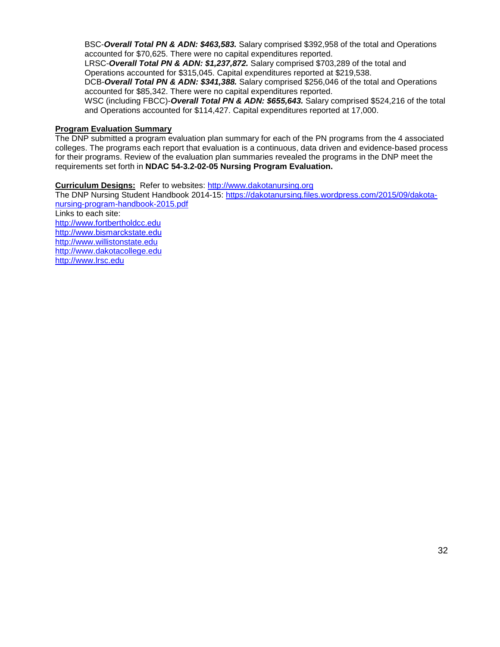BSC-*Overall Total PN & ADN: \$463,583.* Salary comprised \$392,958 of the total and Operations accounted for \$70,625. There were no capital expenditures reported.

LRSC-*Overall Total PN & ADN: \$1,237,872.* Salary comprised \$703,289 of the total and Operations accounted for \$315,045. Capital expenditures reported at \$219,538.

DCB-*Overall Total PN & ADN: \$341,388.* Salary comprised \$256,046 of the total and Operations accounted for \$85,342. There were no capital expenditures reported.

WSC (including FBCC)-*Overall Total PN & ADN: \$655,643.* Salary comprised \$524,216 of the total and Operations accounted for \$114,427. Capital expenditures reported at 17,000.

#### **Program Evaluation Summary**

The DNP submitted a program evaluation plan summary for each of the PN programs from the 4 associated colleges. The programs each report that evaluation is a continuous, data driven and evidence-based process for their programs. Review of the evaluation plan summaries revealed the programs in the DNP meet the requirements set forth in **NDAC 54-3.2-02-05 Nursing Program Evaluation.**

#### **Curriculum Designs:** Refer to websites: [http://www.dakotanursing.org](http://www.dakotanursing.org/)

The DNP Nursing Student Handbook 2014-15: [https://dakotanursing.files.wordpress.com/2015/09/dakota](https://dakotanursing.files.wordpress.com/2015/09/dakota-nursing-program-handbook-2015.pdf)[nursing-program-handbook-2015.pdf](https://dakotanursing.files.wordpress.com/2015/09/dakota-nursing-program-handbook-2015.pdf) Links to each site: [http://www.fortbertholdcc.edu](http://www.fortbertholdcc.edu/) [http://www.bismarckstate.edu](http://www.bismarckstate.edu/) [http://www.willistonstate.edu](http://www.willistonstate.edu/)  [http://www.dakotacollege.edu](http://www.dakotacollege.edu/) [http://www.lrsc.edu](http://www.lrsc.edu/)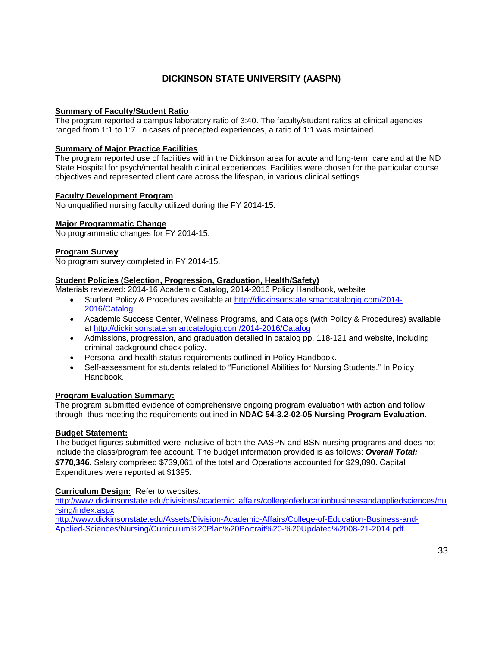### **DICKINSON STATE UNIVERSITY (AASPN)**

#### **Summary of Faculty/Student Ratio**

The program reported a campus laboratory ratio of 3:40. The faculty/student ratios at clinical agencies ranged from 1:1 to 1:7. In cases of precepted experiences, a ratio of 1:1 was maintained.

#### **Summary of Major Practice Facilities**

The program reported use of facilities within the Dickinson area for acute and long-term care and at the ND State Hospital for psych/mental health clinical experiences. Facilities were chosen for the particular course objectives and represented client care across the lifespan, in various clinical settings.

#### **Faculty Development Program**

No unqualified nursing faculty utilized during the FY 2014-15.

#### **Major Programmatic Change**

No programmatic changes for FY 2014-15.

#### **Program Survey**

No program survey completed in FY 2014-15.

#### **Student Policies (Selection, Progression, Graduation, Health/Safety)**

Materials reviewed: 2014-16 Academic Catalog, 2014-2016 Policy Handbook, website

- Student Policy & Procedures available at [http://dickinsonstate.smartcatalogiq.com/2014-](http://dickinsonstate.smartcatalogiq.com/2014-2016/Catalog) [2016/Catalog](http://dickinsonstate.smartcatalogiq.com/2014-2016/Catalog)
- Academic Success Center, Wellness Programs, and Catalogs (with Policy & Procedures) available at<http://dickinsonstate.smartcatalogiq.com/2014-2016/Catalog>
- Admissions, progression, and graduation detailed in catalog pp. 118-121 and website, including criminal background check policy.
- Personal and health status requirements outlined in Policy Handbook.
- Self-assessment for students related to "Functional Abilities for Nursing Students." In Policy Handbook.

#### **Program Evaluation Summary:**

The program submitted evidence of comprehensive ongoing program evaluation with action and follow through, thus meeting the requirements outlined in **NDAC 54-3.2-02-05 Nursing Program Evaluation.**

#### **Budget Statement:**

The budget figures submitted were inclusive of both the AASPN and BSN nursing programs and does not include the class/program fee account. The budget information provided is as follows: *Overall Total: \$***770,346***.* Salary comprised \$739,061 of the total and Operations accounted for \$29,890. Capital Expenditures were reported at \$1395.

#### **Curriculum Design:** Refer to websites:

[http://www.dickinsonstate.edu/divisions/academic\\_affairs/collegeofeducationbusinessandappliedsciences/nu](http://www.dickinsonstate.edu/divisions/academic_affairs/collegeofeducationbusinessandappliedsciences/nursing/index.aspx) [rsing/index.aspx](http://www.dickinsonstate.edu/divisions/academic_affairs/collegeofeducationbusinessandappliedsciences/nursing/index.aspx)

[http://www.dickinsonstate.edu/Assets/Division-Academic-Affairs/College-of-Education-Business-and-](http://www.dickinsonstate.edu/Assets/Division-Academic-Affairs/College-of-Education-Business-and-Applied-Sciences/Nursing/Curriculum%20Plan%20Portrait%20-%20Updated%2008-21-2014.pdf)[Applied-Sciences/Nursing/Curriculum%20Plan%20Portrait%20-%20Updated%2008-21-2014.pdf](http://www.dickinsonstate.edu/Assets/Division-Academic-Affairs/College-of-Education-Business-and-Applied-Sciences/Nursing/Curriculum%20Plan%20Portrait%20-%20Updated%2008-21-2014.pdf)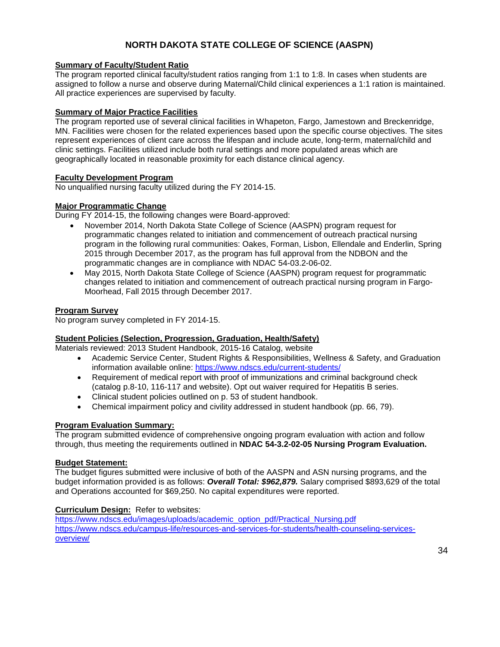### **NORTH DAKOTA STATE COLLEGE OF SCIENCE (AASPN)**

#### **Summary of Faculty/Student Ratio**

The program reported clinical faculty/student ratios ranging from 1:1 to 1:8. In cases when students are assigned to follow a nurse and observe during Maternal/Child clinical experiences a 1:1 ration is maintained. All practice experiences are supervised by faculty.

#### **Summary of Major Practice Facilities**

The program reported use of several clinical facilities in Whapeton, Fargo, Jamestown and Breckenridge, MN. Facilities were chosen for the related experiences based upon the specific course objectives. The sites represent experiences of client care across the lifespan and include acute, long-term, maternal/child and clinic settings. Facilities utilized include both rural settings and more populated areas which are geographically located in reasonable proximity for each distance clinical agency.

#### **Faculty Development Program**

No unqualified nursing faculty utilized during the FY 2014-15.

#### **Major Programmatic Change**

During FY 2014-15, the following changes were Board-approved:

- November 2014, North Dakota State College of Science (AASPN) program request for programmatic changes related to initiation and commencement of outreach practical nursing program in the following rural communities: Oakes, Forman, Lisbon, Ellendale and Enderlin, Spring 2015 through December 2017, as the program has full approval from the NDBON and the programmatic changes are in compliance with NDAC 54-03.2-06-02.
- May 2015, North Dakota State College of Science (AASPN) program request for programmatic changes related to initiation and commencement of outreach practical nursing program in Fargo-Moorhead, Fall 2015 through December 2017.

#### **Program Survey**

No program survey completed in FY 2014-15.

#### **Student Policies (Selection, Progression, Graduation, Health/Safety)**

Materials reviewed: 2013 Student Handbook, 2015-16 Catalog, website

- Academic Service Center, Student Rights & Responsibilities, Wellness & Safety, and Graduation information available online:<https://www.ndscs.edu/current-students/>
- Requirement of medical report with proof of immunizations and criminal background check (catalog p.8-10, 116-117 and website). Opt out waiver required for Hepatitis B series.
- Clinical student policies outlined on p. 53 of student handbook.
- Chemical impairment policy and civility addressed in student handbook (pp. 66, 79).

#### **Program Evaluation Summary:**

The program submitted evidence of comprehensive ongoing program evaluation with action and follow through, thus meeting the requirements outlined in **NDAC 54-3.2-02-05 Nursing Program Evaluation.**

#### **Budget Statement:**

The budget figures submitted were inclusive of both of the AASPN and ASN nursing programs, and the budget information provided is as follows: *Overall Total: \$962,879.* Salary comprised \$893,629 of the total and Operations accounted for \$69,250. No capital expenditures were reported.

#### **Curriculum Design:** Refer to websites:

[https://www.ndscs.edu/images/uploads/academic\\_option\\_pdf/Practical\\_Nursing.pdf](https://www.ndscs.edu/images/uploads/academic_option_pdf/Practical_Nursing.pdf) [https://www.ndscs.edu/campus-life/resources-and-services-for-students/health-counseling-services](https://www.ndscs.edu/campus-life/resources-and-services-for-students/health-counseling-services-overview/)[overview/](https://www.ndscs.edu/campus-life/resources-and-services-for-students/health-counseling-services-overview/)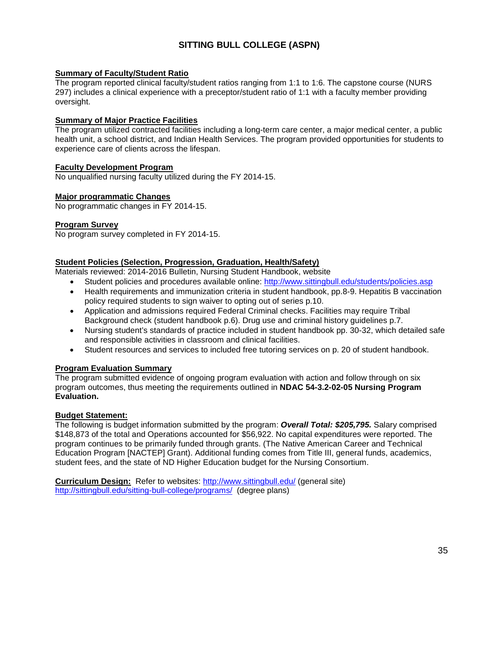### **SITTING BULL COLLEGE (ASPN)**

#### **Summary of Faculty/Student Ratio**

The program reported clinical faculty/student ratios ranging from 1:1 to 1:6. The capstone course (NURS 297) includes a clinical experience with a preceptor/student ratio of 1:1 with a faculty member providing oversight.

#### **Summary of Major Practice Facilities**

The program utilized contracted facilities including a long-term care center, a major medical center, a public health unit, a school district, and Indian Health Services. The program provided opportunities for students to experience care of clients across the lifespan.

#### **Faculty Development Program**

No unqualified nursing faculty utilized during the FY 2014-15.

#### **Major programmatic Changes**

No programmatic changes in FY 2014-15.

#### **Program Survey**

No program survey completed in FY 2014-15.

#### **Student Policies (Selection, Progression, Graduation, Health/Safety)**

Materials reviewed: 2014-2016 Bulletin, Nursing Student Handbook, website

- Student policies and procedures available online:<http://www.sittingbull.edu/students/policies.asp>
- Health requirements and immunization criteria in student handbook, pp.8-9. Hepatitis B vaccination policy required students to sign waiver to opting out of series p.10.
- Application and admissions required Federal Criminal checks. Facilities may require Tribal Background check (student handbook p.6). Drug use and criminal history guidelines p.7.
- Nursing student's standards of practice included in student handbook pp. 30-32, which detailed safe and responsible activities in classroom and clinical facilities.
- Student resources and services to included free tutoring services on p. 20 of student handbook.

#### **Program Evaluation Summary**

The program submitted evidence of ongoing program evaluation with action and follow through on six program outcomes, thus meeting the requirements outlined in **NDAC 54-3.2-02-05 Nursing Program Evaluation.**

#### **Budget Statement:**

The following is budget information submitted by the program: *Overall Total: \$205,795.* Salary comprised \$148,873 of the total and Operations accounted for \$56,922. No capital expenditures were reported. The program continues to be primarily funded through grants. (The Native American Career and Technical Education Program [NACTEP] Grant). Additional funding comes from Title III, general funds, academics, student fees, and the state of ND Higher Education budget for the Nursing Consortium.

**Curriculum Design:** Refer to websites:<http://www.sittingbull.edu/> (general site) <http://sittingbull.edu/sitting-bull-college/programs/> (degree plans)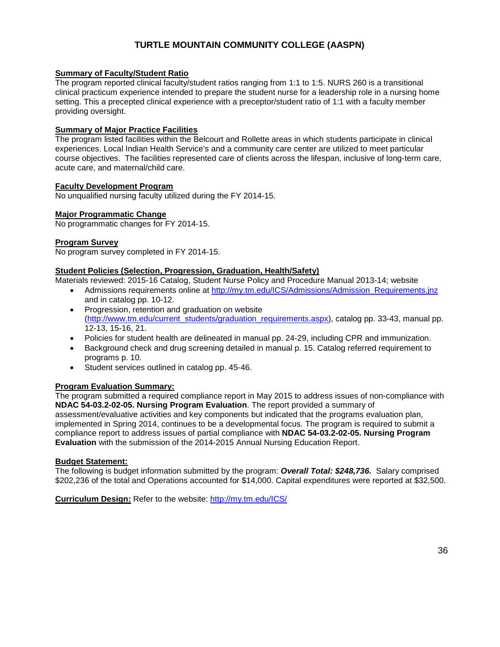### **TURTLE MOUNTAIN COMMUNITY COLLEGE (AASPN)**

#### **Summary of Faculty/Student Ratio**

The program reported clinical faculty/student ratios ranging from 1:1 to 1:5. NURS 260 is a transitional clinical practicum experience intended to prepare the student nurse for a leadership role in a nursing home setting. This a precepted clinical experience with a preceptor/student ratio of 1:1 with a faculty member providing oversight.

#### **Summary of Major Practice Facilities**

The program listed facilities within the Belcourt and Rollette areas in which students participate in clinical experiences. Local Indian Health Service's and a community care center are utilized to meet particular course objectives. The facilities represented care of clients across the lifespan, inclusive of long-term care, acute care, and maternal/child care.

#### **Faculty Development Program**

No unqualified nursing faculty utilized during the FY 2014-15.

#### **Major Programmatic Change**

No programmatic changes for FY 2014-15.

#### **Program Survey**

No program survey completed in FY 2014-15.

#### **Student Policies (Selection, Progression, Graduation, Health/Safety)**

Materials reviewed: 2015-16 Catalog, Student Nurse Policy and Procedure Manual 2013-14; website

- Admissions requirements online at http://my.tm.edu/ICS/Admissions/Admission Requirements.jnz and in catalog pp. 10-12.
- Progression, retention and graduation on website [\(http://www.tm.edu/current\\_students/graduation\\_requirements.aspx\)](http://www.tm.edu/current_students/graduation_requirements.aspx), catalog pp. 33-43, manual pp. 12-13, 15-16, 21.
- Policies for student health are delineated in manual pp. 24-29, including CPR and immunization.
- Background check and drug screening detailed in manual p. 15. Catalog referred requirement to programs p. 10.
- Student services outlined in catalog pp. 45-46.

#### **Program Evaluation Summary:**

The program submitted a required compliance report in May 2015 to address issues of non-compliance with **NDAC 54-03.2-02-05. Nursing Program Evaluation**. The report provided a summary of assessment/evaluative activities and key components but indicated that the programs evaluation plan, implemented in Spring 2014, continues to be a developmental focus. The program is required to submit a compliance report to address issues of partial compliance with **NDAC 54-03.2-02-05. Nursing Program Evaluation** with the submission of the 2014-2015 Annual Nursing Education Report.

#### **Budget Statement:**

The following is budget information submitted by the program: *Overall Total: \$248,736.* Salary comprised \$202,236 of the total and Operations accounted for \$14,000. Capital expenditures were reported at \$32,500.

**Curriculum Design:** Refer to the website:<http://my.tm.edu/ICS/>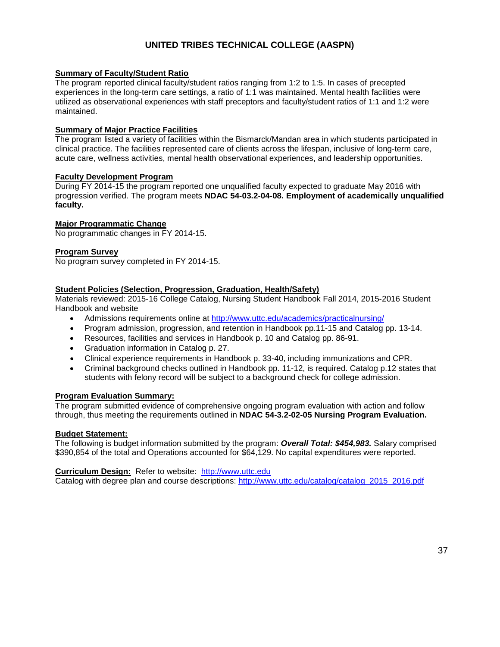### **UNITED TRIBES TECHNICAL COLLEGE (AASPN)**

#### **Summary of Faculty/Student Ratio**

The program reported clinical faculty/student ratios ranging from 1:2 to 1:5. In cases of precepted experiences in the long-term care settings, a ratio of 1:1 was maintained. Mental health facilities were utilized as observational experiences with staff preceptors and faculty/student ratios of 1:1 and 1:2 were maintained.

#### **Summary of Major Practice Facilities**

The program listed a variety of facilities within the Bismarck/Mandan area in which students participated in clinical practice. The facilities represented care of clients across the lifespan, inclusive of long-term care, acute care, wellness activities, mental health observational experiences, and leadership opportunities.

#### **Faculty Development Program**

During FY 2014-15 the program reported one unqualified faculty expected to graduate May 2016 with progression verified. The program meets **NDAC 54-03.2-04-08. Employment of academically unqualified faculty.**

#### **Major Programmatic Change**

No programmatic changes in FY 2014-15.

#### **Program Survey**

No program survey completed in FY 2014-15.

#### **Student Policies (Selection, Progression, Graduation, Health/Safety)**

Materials reviewed: 2015-16 College Catalog, Nursing Student Handbook Fall 2014, 2015-2016 Student Handbook and website

- Admissions requirements online at<http://www.uttc.edu/academics/practicalnursing/>
- Program admission, progression, and retention in Handbook pp.11-15 and Catalog pp. 13-14.
- Resources, facilities and services in Handbook p. 10 and Catalog pp. 86-91.
- Graduation information in Catalog p. 27.
- Clinical experience requirements in Handbook p. 33-40, including immunizations and CPR.
- Criminal background checks outlined in Handbook pp. 11-12, is required. Catalog p.12 states that students with felony record will be subject to a background check for college admission.

#### **Program Evaluation Summary:**

The program submitted evidence of comprehensive ongoing program evaluation with action and follow through, thus meeting the requirements outlined in **NDAC 54-3.2-02-05 Nursing Program Evaluation.**

#### **Budget Statement:**

The following is budget information submitted by the program: *Overall Total: \$454,983.* Salary comprised \$390,854 of the total and Operations accounted for \$64,129. No capital expenditures were reported.

#### **Curriculum Design:** Refer to website: [http://www.uttc.edu](http://www.uttc.edu/)

Catalog with degree plan and course descriptions: [http://www.uttc.edu/catalog/catalog\\_2015\\_2016.pdf](http://www.uttc.edu/catalog/catalog_2015_2016.pdf)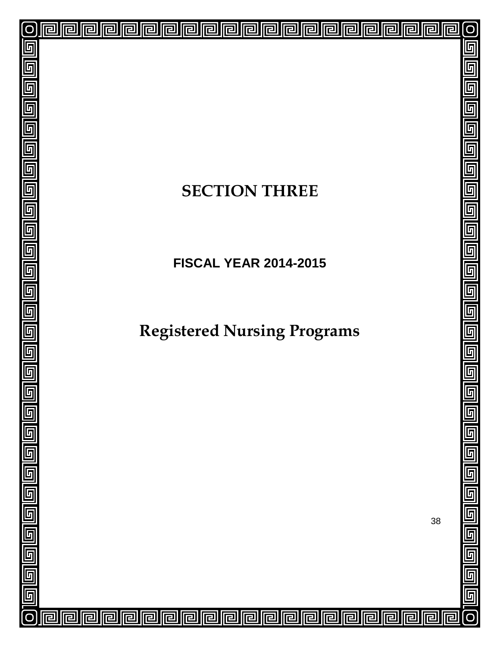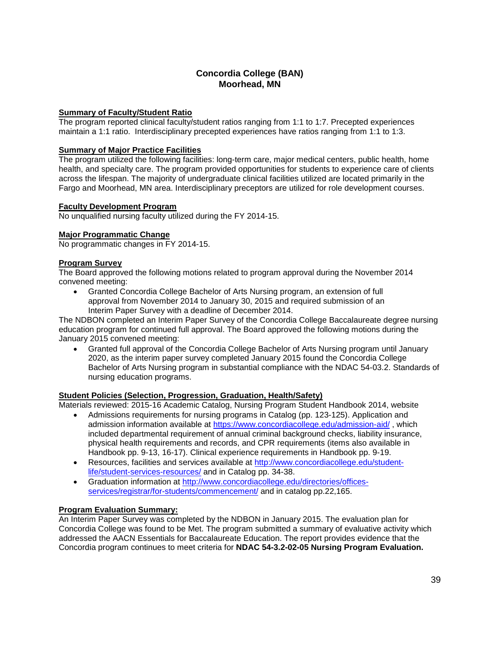### **Concordia College (BAN) Moorhead, MN**

#### **Summary of Faculty/Student Ratio**

The program reported clinical faculty/student ratios ranging from 1:1 to 1:7. Precepted experiences maintain a 1:1 ratio. Interdisciplinary precepted experiences have ratios ranging from 1:1 to 1:3.

#### **Summary of Major Practice Facilities**

The program utilized the following facilities: long-term care, major medical centers, public health, home health, and specialty care. The program provided opportunities for students to experience care of clients across the lifespan. The majority of undergraduate clinical facilities utilized are located primarily in the Fargo and Moorhead, MN area. Interdisciplinary preceptors are utilized for role development courses.

#### **Faculty Development Program**

No unqualified nursing faculty utilized during the FY 2014-15.

#### **Major Programmatic Change**

No programmatic changes in FY 2014-15.

#### **Program Survey**

The Board approved the following motions related to program approval during the November 2014 convened meeting:

• Granted Concordia College Bachelor of Arts Nursing program, an extension of full approval from November 2014 to January 30, 2015 and required submission of an Interim Paper Survey with a deadline of December 2014.

The NDBON completed an Interim Paper Survey of the Concordia College Baccalaureate degree nursing education program for continued full approval. The Board approved the following motions during the January 2015 convened meeting:

• Granted full approval of the Concordia College Bachelor of Arts Nursing program until January 2020, as the interim paper survey completed January 2015 found the Concordia College Bachelor of Arts Nursing program in substantial compliance with the NDAC 54-03.2. Standards of nursing education programs.

#### **Student Policies (Selection, Progression, Graduation, Health/Safety)**

Materials reviewed: 2015-16 Academic Catalog, Nursing Program Student Handbook 2014, website

- Admissions requirements for nursing programs in Catalog (pp. 123-125). Application and admission information available at<https://www.concordiacollege.edu/admission-aid/> , which included departmental requirement of annual criminal background checks, liability insurance, physical health requirements and records, and CPR requirements (items also available in Handbook pp. 9-13, 16-17). Clinical experience requirements in Handbook pp. 9-19.
- Resources, facilities and services available at [http://www.concordiacollege.edu/student](http://www.concordiacollege.edu/student-life/student-services-resources/)[life/student-services-resources/](http://www.concordiacollege.edu/student-life/student-services-resources/) and in Catalog pp. 34-38.
- Graduation information at [http://www.concordiacollege.edu/directories/offices](http://www.concordiacollege.edu/directories/offices-services/registrar/for-students/commencement/)[services/registrar/for-students/commencement/](http://www.concordiacollege.edu/directories/offices-services/registrar/for-students/commencement/) and in catalog pp.22,165.

#### **Program Evaluation Summary:**

An Interim Paper Survey was completed by the NDBON in January 2015. The evaluation plan for Concordia College was found to be Met. The program submitted a summary of evaluative activity which addressed the AACN Essentials for Baccalaureate Education. The report provides evidence that the Concordia program continues to meet criteria for **NDAC 54-3.2-02-05 Nursing Program Evaluation.**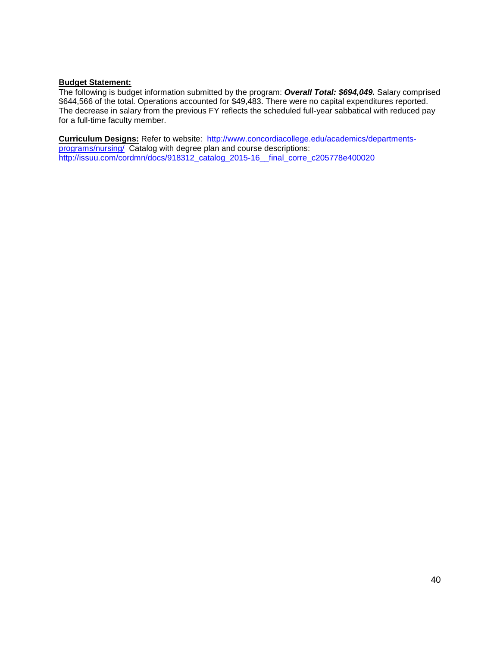#### **Budget Statement:**

The following is budget information submitted by the program: *Overall Total: \$694,049.* Salary comprised \$644,566 of the total. Operations accounted for \$49,483. There were no capital expenditures reported. The decrease in salary from the previous FY reflects the scheduled full-year sabbatical with reduced pay for a full-time faculty member.

**Curriculum Designs:** Refer to website: [http://www.concordiacollege.edu/academics/departments](http://www.concordiacollege.edu/academics/departments-programs/nursing/)[programs/nursing/](http://www.concordiacollege.edu/academics/departments-programs/nursing/) Catalog with degree plan and course descriptions: [http://issuu.com/cordmn/docs/918312\\_catalog\\_2015-16\\_\\_final\\_corre\\_c205778e400020](http://issuu.com/cordmn/docs/918312_catalog_2015-16__final_corre_c205778e400020)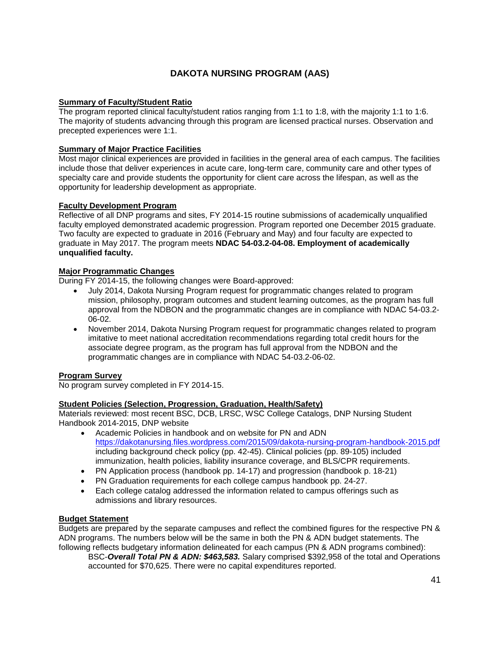### **DAKOTA NURSING PROGRAM (AAS)**

#### **Summary of Faculty/Student Ratio**

The program reported clinical faculty/student ratios ranging from 1:1 to 1:8, with the majority 1:1 to 1:6. The majority of students advancing through this program are licensed practical nurses. Observation and precepted experiences were 1:1.

#### **Summary of Major Practice Facilities**

Most major clinical experiences are provided in facilities in the general area of each campus. The facilities include those that deliver experiences in acute care, long-term care, community care and other types of specialty care and provide students the opportunity for client care across the lifespan, as well as the opportunity for leadership development as appropriate.

#### **Faculty Development Program**

Reflective of all DNP programs and sites, FY 2014-15 routine submissions of academically unqualified faculty employed demonstrated academic progression. Program reported one December 2015 graduate. Two faculty are expected to graduate in 2016 (February and May) and four faculty are expected to graduate in May 2017. The program meets **NDAC 54-03.2-04-08. Employment of academically unqualified faculty.**

#### **Major Programmatic Changes**

During FY 2014-15, the following changes were Board-approved:

- July 2014, Dakota Nursing Program request for programmatic changes related to program mission, philosophy, program outcomes and student learning outcomes, as the program has full approval from the NDBON and the programmatic changes are in compliance with NDAC 54-03.2- 06-02.
- November 2014, Dakota Nursing Program request for programmatic changes related to program imitative to meet national accreditation recommendations regarding total credit hours for the associate degree program, as the program has full approval from the NDBON and the programmatic changes are in compliance with NDAC 54-03.2-06-02.

#### **Program Survey**

No program survey completed in FY 2014-15.

#### **Student Policies (Selection, Progression, Graduation, Health/Safety)**

Materials reviewed: most recent BSC, DCB, LRSC, WSC College Catalogs, DNP Nursing Student Handbook 2014-2015, DNP website

- Academic Policies in handbook and on website for PN and ADN <https://dakotanursing.files.wordpress.com/2015/09/dakota-nursing-program-handbook-2015.pdf> including background check policy (pp. 42-45). Clinical policies (pp. 89-105) included immunization, health policies, liability insurance coverage, and BLS/CPR requirements.
- PN Application process (handbook pp. 14-17) and progression (handbook p. 18-21)
- PN Graduation requirements for each college campus handbook pp. 24-27.
- Each college catalog addressed the information related to campus offerings such as admissions and library resources.

#### **Budget Statement**

Budgets are prepared by the separate campuses and reflect the combined figures for the respective PN & ADN programs. The numbers below will be the same in both the PN & ADN budget statements. The following reflects budgetary information delineated for each campus (PN & ADN programs combined):

BSC-*Overall Total PN & ADN: \$463,583.* Salary comprised \$392,958 of the total and Operations accounted for \$70,625. There were no capital expenditures reported.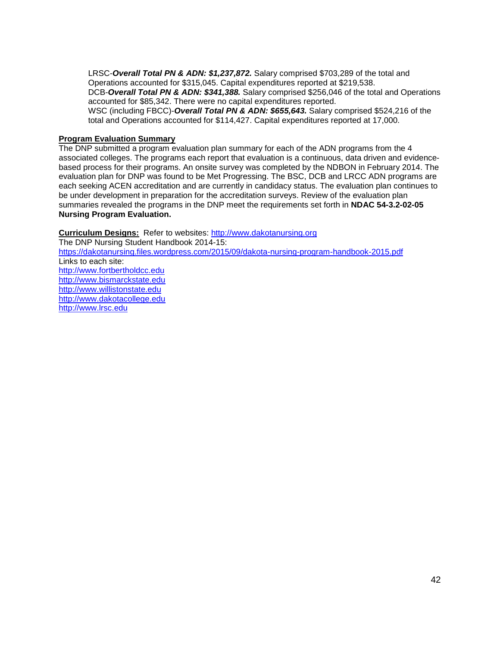LRSC-*Overall Total PN & ADN: \$1,237,872.* Salary comprised \$703,289 of the total and Operations accounted for \$315,045. Capital expenditures reported at \$219,538. DCB-*Overall Total PN & ADN: \$341,388.* Salary comprised \$256,046 of the total and Operations accounted for \$85,342. There were no capital expenditures reported. WSC (including FBCC)-*Overall Total PN & ADN: \$655,643.* Salary comprised \$524,216 of the total and Operations accounted for \$114,427. Capital expenditures reported at 17,000.

#### **Program Evaluation Summary**

The DNP submitted a program evaluation plan summary for each of the ADN programs from the 4 associated colleges. The programs each report that evaluation is a continuous, data driven and evidencebased process for their programs. An onsite survey was completed by the NDBON in February 2014. The evaluation plan for DNP was found to be Met Progressing. The BSC, DCB and LRCC ADN programs are each seeking ACEN accreditation and are currently in candidacy status. The evaluation plan continues to be under development in preparation for the accreditation surveys. Review of the evaluation plan summaries revealed the programs in the DNP meet the requirements set forth in **NDAC 54-3.2-02-05 Nursing Program Evaluation.**

**Curriculum Designs:** Refer to websites: [http://www.dakotanursing.org](http://www.dakotanursing.org/)

The DNP Nursing Student Handbook 2014-15: <https://dakotanursing.files.wordpress.com/2015/09/dakota-nursing-program-handbook-2015.pdf> Links to each site: [http://www.fortbertholdcc.edu](http://www.fortbertholdcc.edu/) [http://www.bismarckstate.edu](http://www.bismarckstate.edu/) [http://www.willistonstate.edu](http://www.willistonstate.edu/)  [http://www.dakotacollege.edu](http://www.dakotacollege.edu/) [http://www.lrsc.edu](http://www.lrsc.edu/)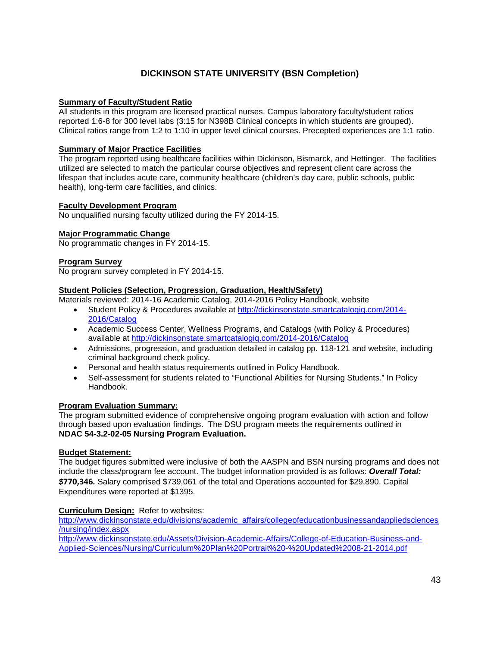### **DICKINSON STATE UNIVERSITY (BSN Completion)**

#### **Summary of Faculty/Student Ratio**

All students in this program are licensed practical nurses. Campus laboratory faculty/student ratios reported 1:6-8 for 300 level labs (3:15 for N398B Clinical concepts in which students are grouped). Clinical ratios range from 1:2 to 1:10 in upper level clinical courses. Precepted experiences are 1:1 ratio.

#### **Summary of Major Practice Facilities**

The program reported using healthcare facilities within Dickinson, Bismarck, and Hettinger. The facilities utilized are selected to match the particular course objectives and represent client care across the lifespan that includes acute care, community healthcare (children's day care, public schools, public health), long-term care facilities, and clinics.

#### **Faculty Development Program**

No unqualified nursing faculty utilized during the FY 2014-15.

#### **Major Programmatic Change**

No programmatic changes in FY 2014-15.

#### **Program Survey**

No program survey completed in FY 2014-15.

#### **Student Policies (Selection, Progression, Graduation, Health/Safety)**

Materials reviewed: 2014-16 Academic Catalog, 2014-2016 Policy Handbook, website

- Student Policy & Procedures available at [http://dickinsonstate.smartcatalogiq.com/2014-](http://dickinsonstate.smartcatalogiq.com/2014-2016/Catalog) [2016/Catalog](http://dickinsonstate.smartcatalogiq.com/2014-2016/Catalog)
- Academic Success Center, Wellness Programs, and Catalogs (with Policy & Procedures) available at<http://dickinsonstate.smartcatalogiq.com/2014-2016/Catalog>
- Admissions, progression, and graduation detailed in catalog pp. 118-121 and website, including criminal background check policy.
- Personal and health status requirements outlined in Policy Handbook.
- Self-assessment for students related to "Functional Abilities for Nursing Students." In Policy Handbook.

#### **Program Evaluation Summary:**

The program submitted evidence of comprehensive ongoing program evaluation with action and follow through based upon evaluation findings. The DSU program meets the requirements outlined in **NDAC 54-3.2-02-05 Nursing Program Evaluation.**

#### **Budget Statement:**

The budget figures submitted were inclusive of both the AASPN and BSN nursing programs and does not include the class/program fee account. The budget information provided is as follows: *Overall Total: \$***770,346***.* Salary comprised \$739,061 of the total and Operations accounted for \$29,890. Capital Expenditures were reported at \$1395.

#### **Curriculum Design:** Refer to websites:

[http://www.dickinsonstate.edu/divisions/academic\\_affairs/collegeofeducationbusinessandappliedsciences](http://www.dickinsonstate.edu/divisions/academic_affairs/collegeofeducationbusinessandappliedsciences/nursing/index.aspx) [/nursing/index.aspx](http://www.dickinsonstate.edu/divisions/academic_affairs/collegeofeducationbusinessandappliedsciences/nursing/index.aspx)

[http://www.dickinsonstate.edu/Assets/Division-Academic-Affairs/College-of-Education-Business-and-](http://www.dickinsonstate.edu/Assets/Division-Academic-Affairs/College-of-Education-Business-and-Applied-Sciences/Nursing/Curriculum%20Plan%20Portrait%20-%20Updated%2008-21-2014.pdf)[Applied-Sciences/Nursing/Curriculum%20Plan%20Portrait%20-%20Updated%2008-21-2014.pdf](http://www.dickinsonstate.edu/Assets/Division-Academic-Affairs/College-of-Education-Business-and-Applied-Sciences/Nursing/Curriculum%20Plan%20Portrait%20-%20Updated%2008-21-2014.pdf)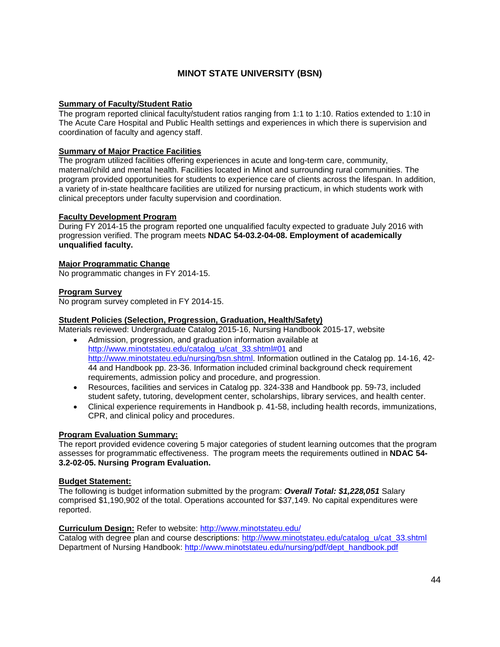### **MINOT STATE UNIVERSITY (BSN)**

#### **Summary of Faculty/Student Ratio**

The program reported clinical faculty/student ratios ranging from 1:1 to 1:10. Ratios extended to 1:10 in The Acute Care Hospital and Public Health settings and experiences in which there is supervision and coordination of faculty and agency staff.

#### **Summary of Major Practice Facilities**

The program utilized facilities offering experiences in acute and long-term care, community, maternal/child and mental health. Facilities located in Minot and surrounding rural communities. The program provided opportunities for students to experience care of clients across the lifespan. In addition, a variety of in-state healthcare facilities are utilized for nursing practicum, in which students work with clinical preceptors under faculty supervision and coordination.

#### **Faculty Development Program**

During FY 2014-15 the program reported one unqualified faculty expected to graduate July 2016 with progression verified. The program meets **NDAC 54-03.2-04-08. Employment of academically unqualified faculty.**

#### **Major Programmatic Change**

No programmatic changes in FY 2014-15.

#### **Program Survey**

No program survey completed in FY 2014-15.

#### **Student Policies (Selection, Progression, Graduation, Health/Safety)**

Materials reviewed: Undergraduate Catalog 2015-16, Nursing Handbook 2015-17, website

- Admission, progression, and graduation information available at [http://www.minotstateu.edu/catalog\\_u/cat\\_33.shtml#01](http://www.minotstateu.edu/catalog_u/cat_33.shtml#01) and [http://www.minotstateu.edu/nursing/bsn.shtml.](http://www.minotstateu.edu/nursing/bsn.shtml) Information outlined in the Catalog pp. 14-16, 42- 44 and Handbook pp. 23-36. Information included criminal background check requirement requirements, admission policy and procedure, and progression.
- Resources, facilities and services in Catalog pp. 324-338 and Handbook pp. 59-73, included student safety, tutoring, development center, scholarships, library services, and health center.
- Clinical experience requirements in Handbook p. 41-58, including health records, immunizations, CPR, and clinical policy and procedures.

#### **Program Evaluation Summary:**

The report provided evidence covering 5 major categories of student learning outcomes that the program assesses for programmatic effectiveness.The program meets the requirements outlined in **NDAC 54- 3.2-02-05. Nursing Program Evaluation.**

#### **Budget Statement:**

The following is budget information submitted by the program: *Overall Total: \$1,228,051* Salary comprised \$1,190,902 of the total. Operations accounted for \$37,149. No capital expenditures were reported.

**Curriculum Design:** Refer to website:<http://www.minotstateu.edu/>

Catalog with degree plan and course descriptions: [http://www.minotstateu.edu/catalog\\_u/cat\\_33.shtml](http://www.minotstateu.edu/catalog_u/cat_33.shtml) Department of Nursing Handbook: [http://www.minotstateu.edu/nursing/pdf/dept\\_handbook.pdf](http://www.minotstateu.edu/nursing/pdf/dept_handbook.pdf)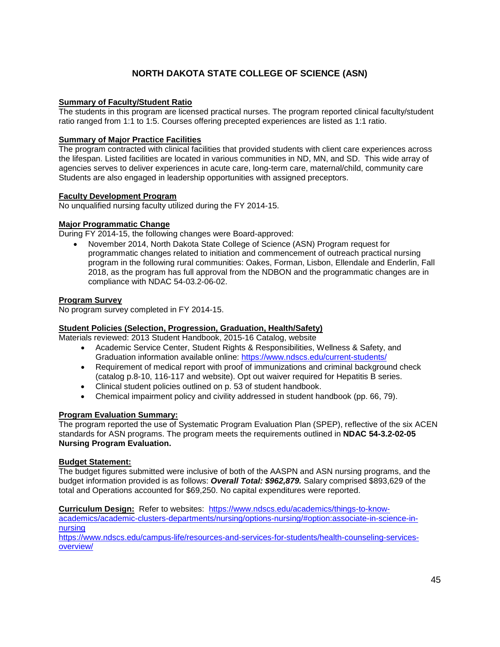### **NORTH DAKOTA STATE COLLEGE OF SCIENCE (ASN)**

#### **Summary of Faculty/Student Ratio**

The students in this program are licensed practical nurses. The program reported clinical faculty/student ratio ranged from 1:1 to 1:5. Courses offering precepted experiences are listed as 1:1 ratio.

#### **Summary of Major Practice Facilities**

The program contracted with clinical facilities that provided students with client care experiences across the lifespan. Listed facilities are located in various communities in ND, MN, and SD. This wide array of agencies serves to deliver experiences in acute care, long-term care, maternal/child, community care Students are also engaged in leadership opportunities with assigned preceptors.

#### **Faculty Development Program**

No unqualified nursing faculty utilized during the FY 2014-15.

#### **Major Programmatic Change**

During FY 2014-15, the following changes were Board-approved:

• November 2014, North Dakota State College of Science (ASN) Program request for programmatic changes related to initiation and commencement of outreach practical nursing program in the following rural communities: Oakes, Forman, Lisbon, Ellendale and Enderlin, Fall 2018, as the program has full approval from the NDBON and the programmatic changes are in compliance with NDAC 54-03.2-06-02.

#### **Program Survey**

No program survey completed in FY 2014-15.

#### **Student Policies (Selection, Progression, Graduation, Health/Safety)**

Materials reviewed: 2013 Student Handbook, 2015-16 Catalog, website

- Academic Service Center, Student Rights & Responsibilities, Wellness & Safety, and Graduation information available online:<https://www.ndscs.edu/current-students/>
- Requirement of medical report with proof of immunizations and criminal background check (catalog p.8-10, 116-117 and website). Opt out waiver required for Hepatitis B series.
- Clinical student policies outlined on p. 53 of student handbook.
- Chemical impairment policy and civility addressed in student handbook (pp. 66, 79).

#### **Program Evaluation Summary:**

The program reported the use of Systematic Program Evaluation Plan (SPEP), reflective of the six ACEN standards for ASN programs. The program meets the requirements outlined in **NDAC 54-3.2-02-05 Nursing Program Evaluation.**

#### **Budget Statement:**

The budget figures submitted were inclusive of both of the AASPN and ASN nursing programs, and the budget information provided is as follows: *Overall Total: \$962,879.* Salary comprised \$893,629 of the total and Operations accounted for \$69,250. No capital expenditures were reported.

**Curriculum Design:** Refer to websites: [https://www.ndscs.edu/academics/things-to-know](https://www.ndscs.edu/academics/things-to-know-academics/academic-clusters-departments/nursing/options-nursing/#option:associate-in-science-in-nursing)[academics/academic-clusters-departments/nursing/options-nursing/#option:associate-in-science-in](https://www.ndscs.edu/academics/things-to-know-academics/academic-clusters-departments/nursing/options-nursing/#option:associate-in-science-in-nursing)[nursing](https://www.ndscs.edu/academics/things-to-know-academics/academic-clusters-departments/nursing/options-nursing/#option:associate-in-science-in-nursing)

[https://www.ndscs.edu/campus-life/resources-and-services-for-students/health-counseling-services](https://www.ndscs.edu/campus-life/resources-and-services-for-students/health-counseling-services-overview/)[overview/](https://www.ndscs.edu/campus-life/resources-and-services-for-students/health-counseling-services-overview/)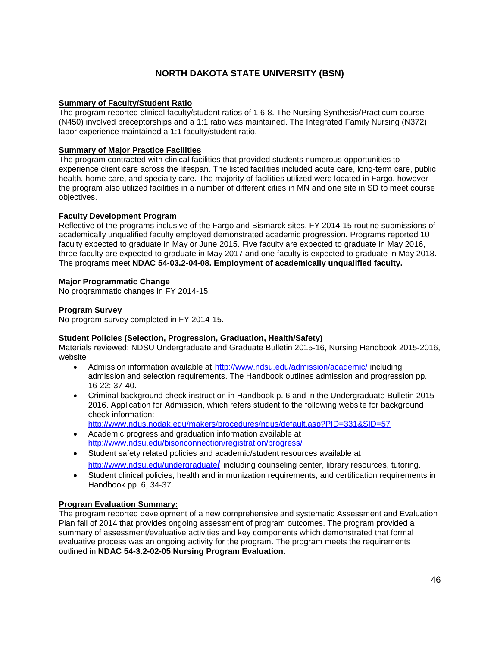### **NORTH DAKOTA STATE UNIVERSITY (BSN)**

#### **Summary of Faculty/Student Ratio**

The program reported clinical faculty/student ratios of 1:6-8. The Nursing Synthesis/Practicum course (N450) involved preceptorships and a 1:1 ratio was maintained. The Integrated Family Nursing (N372) labor experience maintained a 1:1 faculty/student ratio.

#### **Summary of Major Practice Facilities**

The program contracted with clinical facilities that provided students numerous opportunities to experience client care across the lifespan. The listed facilities included acute care, long-term care, public health, home care, and specialty care. The majority of facilities utilized were located in Fargo, however the program also utilized facilities in a number of different cities in MN and one site in SD to meet course objectives.

#### **Faculty Development Program**

Reflective of the programs inclusive of the Fargo and Bismarck sites, FY 2014-15 routine submissions of academically unqualified faculty employed demonstrated academic progression. Programs reported 10 faculty expected to graduate in May or June 2015. Five faculty are expected to graduate in May 2016, three faculty are expected to graduate in May 2017 and one faculty is expected to graduate in May 2018. The programs meet **NDAC 54-03.2-04-08. Employment of academically unqualified faculty.**

#### **Major Programmatic Change**

No programmatic changes in FY 2014-15.

#### **Program Survey**

No program survey completed in FY 2014-15.

#### **Student Policies (Selection, Progression, Graduation, Health/Safety)**

Materials reviewed: NDSU Undergraduate and Graduate Bulletin 2015-16, Nursing Handbook 2015-2016, website

- Admission information available at <http://www.ndsu.edu/admission/academic/> including admission and selection requirements. The Handbook outlines admission and progression pp. 16-22; 37-40.
- Criminal background check instruction in Handbook p. 6 and in the Undergraduate Bulletin 2015- 2016. Application for Admission, which refers student to the following website for background check information:

<http://www.ndus.nodak.edu/makers/procedures/ndus/default.asp?PID=331&SID=57>

- Academic progress and graduation information available at <http://www.ndsu.edu/bisonconnection/registration/progress/>
- Student safety related policies and academic/student resources available at [http://www.ndsu.edu/undergraduate](http://www.ndsu.edu/undergraduate/)**/** including counseling center, library resources, tutoring.
- Student clinical policies, health and immunization requirements, and certification requirements in Handbook pp. 6, 34-37.

#### **Program Evaluation Summary:**

The program reported development of a new comprehensive and systematic Assessment and Evaluation Plan fall of 2014 that provides ongoing assessment of program outcomes. The program provided a summary of assessment/evaluative activities and key components which demonstrated that formal evaluative process was an ongoing activity for the program. The program meets the requirements outlined in **NDAC 54-3.2-02-05 Nursing Program Evaluation.**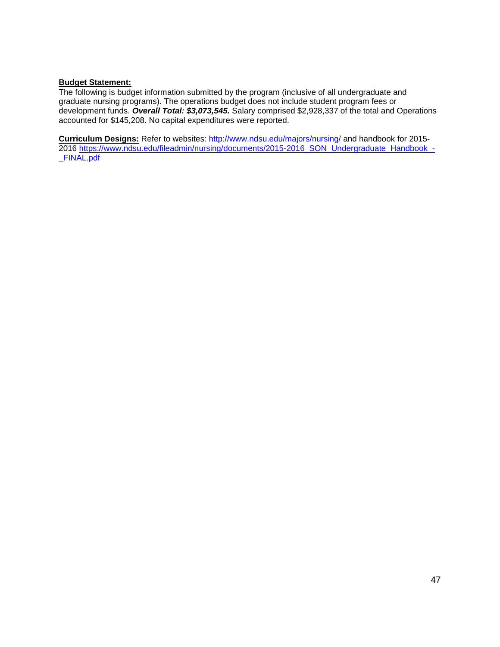#### **Budget Statement:**

The following is budget information submitted by the program (inclusive of all undergraduate and graduate nursing programs). The operations budget does not include student program fees or development funds. *Overall Total: \$3,073,545.* Salary comprised \$2,928,337 of the total and Operations accounted for \$145,208. No capital expenditures were reported.

**Curriculum Designs:** Refer to websites:<http://www.ndsu.edu/majors/nursing/> and handbook for 2015- 2016 [https://www.ndsu.edu/fileadmin/nursing/documents/2015-2016\\_SON\\_Undergraduate\\_Handbook\\_-](https://www.ndsu.edu/fileadmin/nursing/documents/2015-2016_SON_Undergraduate_Handbook_-_FINAL.pdf) [\\_FINAL.pdf](https://www.ndsu.edu/fileadmin/nursing/documents/2015-2016_SON_Undergraduate_Handbook_-_FINAL.pdf)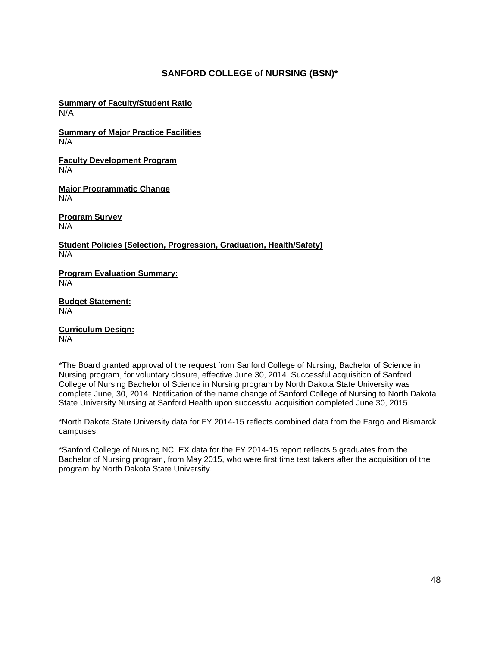#### **SANFORD COLLEGE of NURSING (BSN)\***

**Summary of Faculty/Student Ratio** N/A

**Summary of Major Practice Facilities** N/A

**Faculty Development Program**  N/A

**Major Programmatic Change** N/A

**Program Survey** N/A

**Student Policies (Selection, Progression, Graduation, Health/Safety)** N/A

**Program Evaluation Summary:** N/A

**Budget Statement:** N/A

**Curriculum Design:** N/A

\*The Board granted approval of the request from Sanford College of Nursing, Bachelor of Science in Nursing program, for voluntary closure, effective June 30, 2014. Successful acquisition of Sanford College of Nursing Bachelor of Science in Nursing program by North Dakota State University was complete June, 30, 2014. Notification of the name change of Sanford College of Nursing to North Dakota State University Nursing at Sanford Health upon successful acquisition completed June 30, 2015.

\*North Dakota State University data for FY 2014-15 reflects combined data from the Fargo and Bismarck campuses.

\*Sanford College of Nursing NCLEX data for the FY 2014-15 report reflects 5 graduates from the Bachelor of Nursing program, from May 2015, who were first time test takers after the acquisition of the program by North Dakota State University.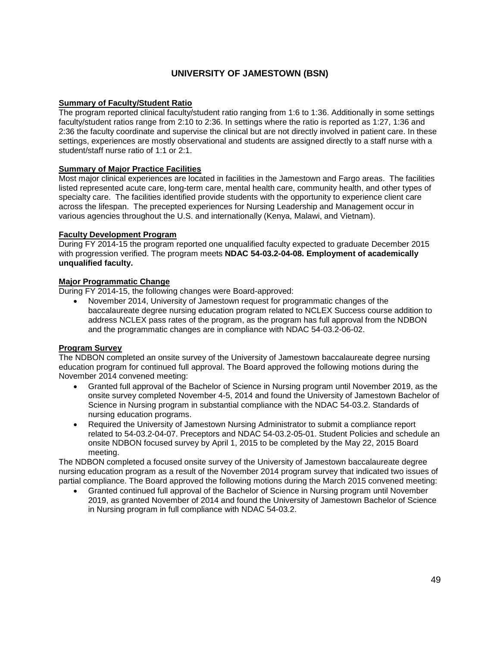### **UNIVERSITY OF JAMESTOWN (BSN)**

#### **Summary of Faculty/Student Ratio**

The program reported clinical faculty/student ratio ranging from 1:6 to 1:36. Additionally in some settings faculty/student ratios range from 2:10 to 2:36. In settings where the ratio is reported as 1:27, 1:36 and 2:36 the faculty coordinate and supervise the clinical but are not directly involved in patient care. In these settings, experiences are mostly observational and students are assigned directly to a staff nurse with a student/staff nurse ratio of 1:1 or 2:1.

#### **Summary of Major Practice Facilities**

Most major clinical experiences are located in facilities in the Jamestown and Fargo areas. The facilities listed represented acute care, long-term care, mental health care, community health, and other types of specialty care. The facilities identified provide students with the opportunity to experience client care across the lifespan. The precepted experiences for Nursing Leadership and Management occur in various agencies throughout the U.S. and internationally (Kenya, Malawi, and Vietnam).

#### **Faculty Development Program**

During FY 2014-15 the program reported one unqualified faculty expected to graduate December 2015 with progression verified. The program meets **NDAC 54-03.2-04-08. Employment of academically unqualified faculty.**

#### **Major Programmatic Change**

During FY 2014-15, the following changes were Board-approved:

• November 2014, University of Jamestown request for programmatic changes of the baccalaureate degree nursing education program related to NCLEX Success course addition to address NCLEX pass rates of the program, as the program has full approval from the NDBON and the programmatic changes are in compliance with NDAC 54-03.2-06-02.

#### **Program Survey**

The NDBON completed an onsite survey of the University of Jamestown baccalaureate degree nursing education program for continued full approval. The Board approved the following motions during the November 2014 convened meeting:

- Granted full approval of the Bachelor of Science in Nursing program until November 2019, as the onsite survey completed November 4-5, 2014 and found the University of Jamestown Bachelor of Science in Nursing program in substantial compliance with the NDAC 54-03.2. Standards of nursing education programs.
- Required the University of Jamestown Nursing Administrator to submit a compliance report related to 54-03.2-04-07. Preceptors and NDAC 54-03.2-05-01. Student Policies and schedule an onsite NDBON focused survey by April 1, 2015 to be completed by the May 22, 2015 Board meeting.

The NDBON completed a focused onsite survey of the University of Jamestown baccalaureate degree nursing education program as a result of the November 2014 program survey that indicated two issues of partial compliance. The Board approved the following motions during the March 2015 convened meeting:

• Granted continued full approval of the Bachelor of Science in Nursing program until November 2019, as granted November of 2014 and found the University of Jamestown Bachelor of Science in Nursing program in full compliance with NDAC 54-03.2.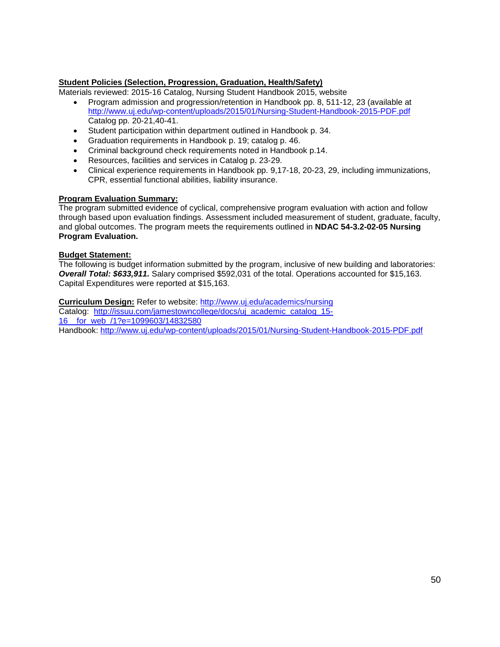#### **Student Policies (Selection, Progression, Graduation, Health/Safety)**

Materials reviewed: 2015-16 Catalog, Nursing Student Handbook 2015, website

- Program admission and progression/retention in Handbook pp. 8, 511-12, 23 (available at <http://www.uj.edu/wp-content/uploads/2015/01/Nursing-Student-Handbook-2015-PDF.pdf> Catalog pp. 20-21,40-41.
- Student participation within department outlined in Handbook p. 34.
- Graduation requirements in Handbook p. 19; catalog p. 46.
- Criminal background check requirements noted in Handbook p.14.
- Resources, facilities and services in Catalog p. 23-29.
- Clinical experience requirements in Handbook pp. 9,17-18, 20-23, 29, including immunizations, CPR, essential functional abilities, liability insurance.

#### **Program Evaluation Summary:**

The program submitted evidence of cyclical, comprehensive program evaluation with action and follow through based upon evaluation findings. Assessment included measurement of student, graduate, faculty, and global outcomes. The program meets the requirements outlined in **NDAC 54-3.2-02-05 Nursing Program Evaluation.**

#### **Budget Statement:**

The following is budget information submitted by the program, inclusive of new building and laboratories: *Overall Total: \$633,911.* Salary comprised \$592,031 of the total. Operations accounted for \$15,163. Capital Expenditures were reported at \$15,163.

**Curriculum Design:** Refer to website:<http://www.uj.edu/academics/nursing>

Catalog: [http://issuu.com/jamestowncollege/docs/uj\\_academic\\_catalog\\_15-](http://issuu.com/jamestowncollege/docs/uj_academic_catalog_15-16__for_web_/1?e=1099603/14832580) [16\\_\\_for\\_web\\_/1?e=1099603/14832580](http://issuu.com/jamestowncollege/docs/uj_academic_catalog_15-16__for_web_/1?e=1099603/14832580)

Handbook:<http://www.uj.edu/wp-content/uploads/2015/01/Nursing-Student-Handbook-2015-PDF.pdf>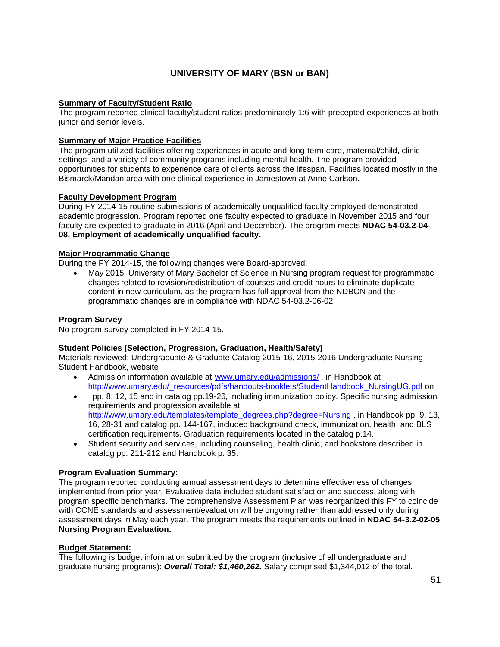### **UNIVERSITY OF MARY (BSN or BAN)**

#### **Summary of Faculty/Student Ratio**

The program reported clinical faculty/student ratios predominately 1:6 with precepted experiences at both junior and senior levels.

#### **Summary of Major Practice Facilities**

The program utilized facilities offering experiences in acute and long-term care, maternal/child, clinic settings, and a variety of community programs including mental health. The program provided opportunities for students to experience care of clients across the lifespan. Facilities located mostly in the Bismarck/Mandan area with one clinical experience in Jamestown at Anne Carlson.

#### **Faculty Development Program**

During FY 2014-15 routine submissions of academically unqualified faculty employed demonstrated academic progression. Program reported one faculty expected to graduate in November 2015 and four faculty are expected to graduate in 2016 (April and December). The program meets **NDAC 54-03.2-04- 08. Employment of academically unqualified faculty.**

#### **Major Programmatic Change**

During the FY 2014-15, the following changes were Board-approved:

• May 2015, University of Mary Bachelor of Science in Nursing program request for programmatic changes related to revision/redistribution of courses and credit hours to eliminate duplicate content in new curriculum, as the program has full approval from the NDBON and the programmatic changes are in compliance with NDAC 54-03.2-06-02.

#### **Program Survey**

No program survey completed in FY 2014-15.

#### **Student Policies (Selection, Progression, Graduation, Health/Safety)**

Materials reviewed: Undergraduate & Graduate Catalog 2015-16, 2015-2016 Undergraduate Nursing Student Handbook, website

- Admission information available at [www.umary.edu/admissions/](http://www.umary.edu/admissions/) , in Handbook at [http://www.umary.edu/\\_resources/pdfs/handouts-booklets/StudentHandbook\\_NursingUG.pdf](http://www.umary.edu/_resources/pdfs/handouts-booklets/StudentHandbook_NursingUG.pdf) on
- pp. 8, 12, 15 and in catalog pp.19-26, including immunization policy. Specific nursing admission requirements and progression available at [http://www.umary.edu/templates/template\\_degrees.php?degree=Nursing](http://www.umary.edu/templates/template_degrees.php?degree=Nursing), in Handbook pp. 9, 13, 16, 28-31 and catalog pp. 144-167, included background check, immunization, health, and BLS certification requirements. Graduation requirements located in the catalog p.14.
- Student security and services, including counseling, health clinic, and bookstore described in catalog pp. 211-212 and Handbook p. 35.

#### **Program Evaluation Summary:**

The program reported conducting annual assessment days to determine effectiveness of changes implemented from prior year. Evaluative data included student satisfaction and success, along with program specific benchmarks. The comprehensive Assessment Plan was reorganized this FY to coincide with CCNE standards and assessment/evaluation will be ongoing rather than addressed only during assessment days in May each year. The program meets the requirements outlined in **NDAC 54-3.2-02-05 Nursing Program Evaluation.**

#### **Budget Statement:**

The following is budget information submitted by the program (inclusive of all undergraduate and graduate nursing programs): *Overall Total: \$1,460,262.* Salary comprised \$1,344,012 of the total.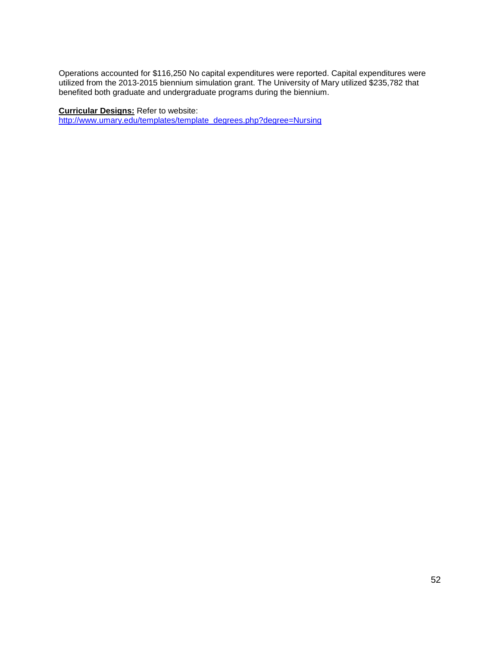Operations accounted for \$116,250 No capital expenditures were reported. Capital expenditures were utilized from the 2013-2015 biennium simulation grant. The University of Mary utilized \$235,782 that benefited both graduate and undergraduate programs during the biennium.

**Curricular Designs:** Refer to website:

[http://www.umary.edu/templates/template\\_degrees.php?degree=Nursing](http://www.umary.edu/templates/template_degrees.php?degree=Nursing)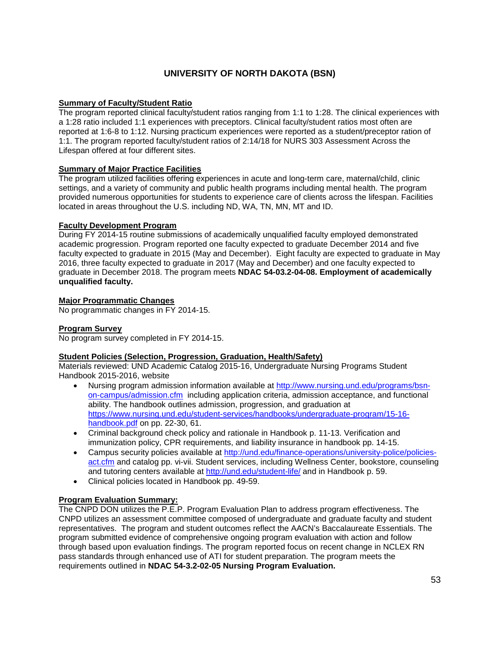### **UNIVERSITY OF NORTH DAKOTA (BSN)**

#### **Summary of Faculty/Student Ratio**

The program reported clinical faculty/student ratios ranging from 1:1 to 1:28. The clinical experiences with a 1:28 ratio included 1:1 experiences with preceptors. Clinical faculty/student ratios most often are reported at 1:6-8 to 1:12. Nursing practicum experiences were reported as a student/preceptor ration of 1:1. The program reported faculty/student ratios of 2:14/18 for NURS 303 Assessment Across the Lifespan offered at four different sites.

#### **Summary of Major Practice Facilities**

The program utilized facilities offering experiences in acute and long-term care, maternal/child, clinic settings, and a variety of community and public health programs including mental health. The program provided numerous opportunities for students to experience care of clients across the lifespan. Facilities located in areas throughout the U.S. including ND, WA, TN, MN, MT and ID.

#### **Faculty Development Program**

During FY 2014-15 routine submissions of academically unqualified faculty employed demonstrated academic progression. Program reported one faculty expected to graduate December 2014 and five faculty expected to graduate in 2015 (May and December). Eight faculty are expected to graduate in May 2016, three faculty expected to graduate in 2017 (May and December) and one faculty expected to graduate in December 2018. The program meets **NDAC 54-03.2-04-08. Employment of academically unqualified faculty.**

#### **Major Programmatic Changes**

No programmatic changes in FY 2014-15.

#### **Program Survey**

No program survey completed in FY 2014-15.

#### **Student Policies (Selection, Progression, Graduation, Health/Safety)**

Materials reviewed: UND Academic Catalog 2015-16, Undergraduate Nursing Programs Student Handbook 2015-2016, website

- Nursing program admission information available at [http://www.nursing.und.edu/programs/bsn](http://www.nursing.und.edu/programs/bsn-on-campus/admission.cfm)[on-campus/admission.cfm](http://www.nursing.und.edu/programs/bsn-on-campus/admission.cfm) including application criteria, admission acceptance, and functional ability. The handbook outlines admission, progression, and graduation at [https://www.nursing.und.edu/student-services/handbooks/undergraduate-program/15-16](https://www.nursing.und.edu/student-services/handbooks/undergraduate-program/15-16-handbook.pdf) [handbook.pdf](https://www.nursing.und.edu/student-services/handbooks/undergraduate-program/15-16-handbook.pdf) on pp. 22-30, 61.
- Criminal background check policy and rationale in Handbook p. 11-13. Verification and immunization policy, CPR requirements, and liability insurance in handbook pp. 14-15.
- Campus security policies available at [http://und.edu/finance-operations/university-police/policies](http://und.edu/finance-operations/university-police/policies-act.cfm)[act.cfm](http://und.edu/finance-operations/university-police/policies-act.cfm) and catalog pp. vi-vii. Student services, including Wellness Center, bookstore, counseling and tutoring centers available at<http://und.edu/student-life/> and in Handbook p. 59.
- Clinical policies located in Handbook pp. 49-59.

#### **Program Evaluation Summary:**

The CNPD DON utilizes the P.E.P. Program Evaluation Plan to address program effectiveness. The CNPD utilizes an assessment committee composed of undergraduate and graduate faculty and student representatives. The program and student outcomes reflect the AACN's Baccalaureate Essentials. The program submitted evidence of comprehensive ongoing program evaluation with action and follow through based upon evaluation findings. The program reported focus on recent change in NCLEX RN pass standards through enhanced use of ATI for student preparation. The program meets the requirements outlined in **NDAC 54-3.2-02-05 Nursing Program Evaluation.**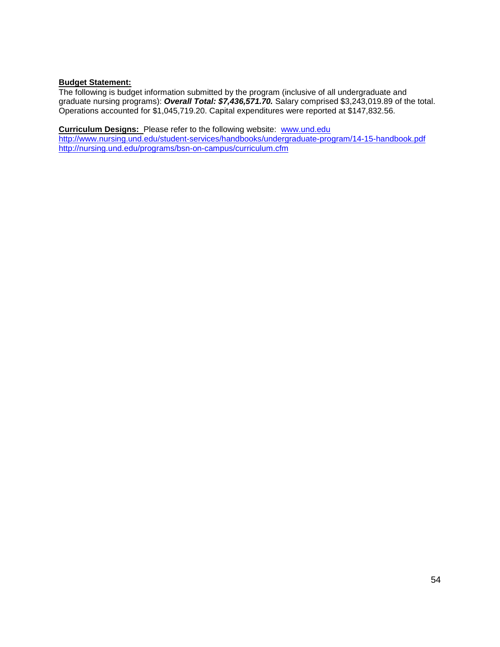#### **Budget Statement:**

The following is budget information submitted by the program (inclusive of all undergraduate and graduate nursing programs): *Overall Total: \$7,436,571.70.* Salary comprised \$3,243,019.89 of the total. Operations accounted for \$1,045,719.20. Capital expenditures were reported at \$147,832.56.

**Curriculum Designs:** Please refer to the following website: [www.und.edu](http://www.und.edu/)

<http://www.nursing.und.edu/student-services/handbooks/undergraduate-program/14-15-handbook.pdf> <http://nursing.und.edu/programs/bsn-on-campus/curriculum.cfm>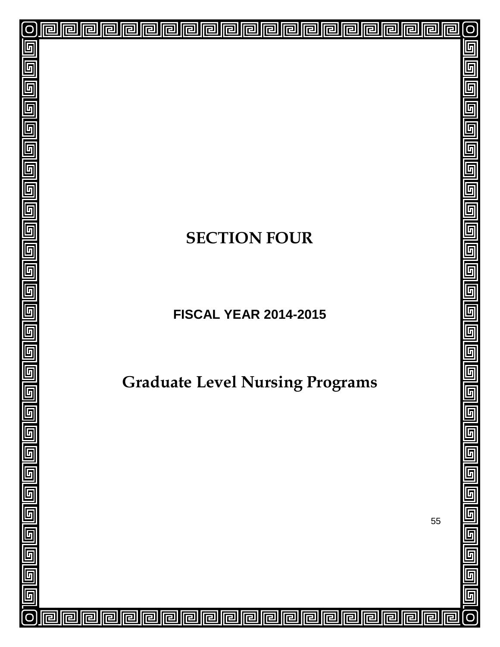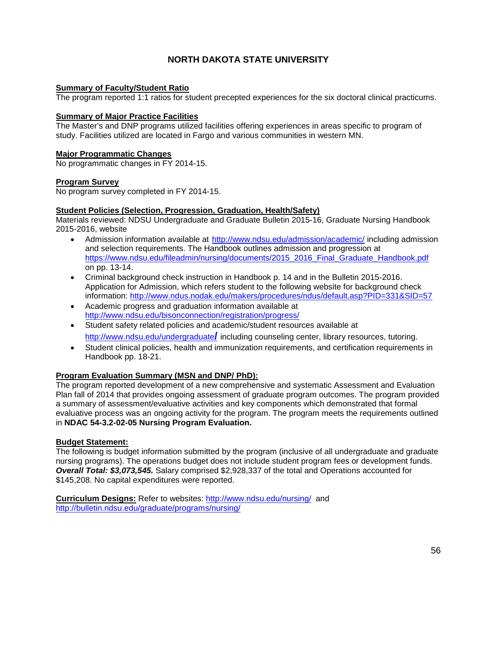### **NORTH DAKOTA STATE UNIVERSITY**

#### **Summary of Faculty/Student Ratio**

The program reported 1:1 ratios for student precepted experiences for the six doctoral clinical practicums.

#### **Summary of Major Practice Facilities**

The Master's and DNP programs utilized facilities offering experiences in areas specific to program of study. Facilities utilized are located in Fargo and various communities in western MN.

#### **Major Programmatic Changes**

No programmatic changes in FY 2014-15.

#### **Program Survey**

No program survey completed in FY 2014-15.

#### **Student Policies (Selection, Progression, Graduation, Health/Safety)**

Materials reviewed: NDSU Undergraduate and Graduate Bulletin 2015-16, Graduate Nursing Handbook 2015-2016, website

- Admission information available at <http://www.ndsu.edu/admission/academic/> including admission and selection requirements. The Handbook outlines admission and progression at https://www.ndsu.edu/fileadmin/nursing/documents/2015\_2016\_Final\_Graduate\_Handbook.pdf on pp. 13-14.
- Criminal background check instruction in Handbook p. 14 and in the Bulletin 2015-2016. Application for Admission, which refers student to the following website for background check information:<http://www.ndus.nodak.edu/makers/procedures/ndus/default.asp?PID=331&SID=57>
- Academic progress and graduation information available at <http://www.ndsu.edu/bisonconnection/registration/progress/>
- Student safety related policies and academic/student resources available at [http://www.ndsu.edu/undergraduate](http://www.ndsu.edu/undergraduate/)**/** including counseling center, library resources, tutoring.
- Student clinical policies, health and immunization requirements, and certification requirements in Handbook pp. 18-21.

#### **Program Evaluation Summary (MSN and DNP/ PhD):**

The program reported development of a new comprehensive and systematic Assessment and Evaluation Plan fall of 2014 that provides ongoing assessment of graduate program outcomes. The program provided a summary of assessment/evaluative activities and key components which demonstrated that formal evaluative process was an ongoing activity for the program. The program meets the requirements outlined in **NDAC 54-3.2-02-05 Nursing Program Evaluation.**

#### **Budget Statement:**

The following is budget information submitted by the program (inclusive of all undergraduate and graduate nursing programs). The operations budget does not include student program fees or development funds. *Overall Total: \$3,073,545.* Salary comprised \$2,928,337 of the total and Operations accounted for \$145,208. No capital expenditures were reported.

**Curriculum Designs:** Refer to websites: <http://www.ndsu.edu/nursing/> and <http://bulletin.ndsu.edu/graduate/programs/nursing/>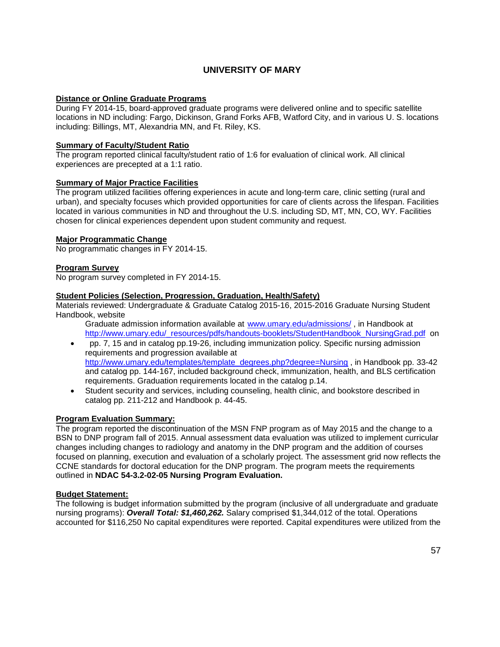### **UNIVERSITY OF MARY**

#### **Distance or Online Graduate Programs**

During FY 2014-15, board-approved graduate programs were delivered online and to specific satellite locations in ND including: Fargo, Dickinson, Grand Forks AFB, Watford City, and in various U. S. locations including: Billings, MT, Alexandria MN, and Ft. Riley, KS.

#### **Summary of Faculty/Student Ratio**

The program reported clinical faculty/student ratio of 1:6 for evaluation of clinical work. All clinical experiences are precepted at a 1:1 ratio.

#### **Summary of Major Practice Facilities**

The program utilized facilities offering experiences in acute and long-term care, clinic setting (rural and urban), and specialty focuses which provided opportunities for care of clients across the lifespan. Facilities located in various communities in ND and throughout the U.S. including SD, MT, MN, CO, WY. Facilities chosen for clinical experiences dependent upon student community and request.

#### **Major Programmatic Change**

No programmatic changes in FY 2014-15.

#### **Program Survey**

No program survey completed in FY 2014-15.

#### **Student Policies (Selection, Progression, Graduation, Health/Safety)**

Materials reviewed: Undergraduate & Graduate Catalog 2015-16, 2015-2016 Graduate Nursing Student Handbook, website

- Graduate admission information available at [www.umary.edu/admissions/](http://www.umary.edu/admissions/), in Handbook at [http://www.umary.edu/\\_resources/pdfs/handouts-booklets/StudentHandbook\\_NursingGrad.pdf](http://www.umary.edu/_resources/pdfs/handouts-booklets/StudentHandbook_NursingGrad.pdf) on
- pp. 7, 15 and in catalog pp.19-26, including immunization policy. Specific nursing admission requirements and progression available at [http://www.umary.edu/templates/template\\_degrees.php?degree=Nursing](http://www.umary.edu/templates/template_degrees.php?degree=Nursing) , in Handbook pp. 33-42 and catalog pp. 144-167, included background check, immunization, health, and BLS certification requirements. Graduation requirements located in the catalog p.14.
- Student security and services, including counseling, health clinic, and bookstore described in catalog pp. 211-212 and Handbook p. 44-45.

#### **Program Evaluation Summary:**

The program reported the discontinuation of the MSN FNP program as of May 2015 and the change to a BSN to DNP program fall of 2015. Annual assessment data evaluation was utilized to implement curricular changes including changes to radiology and anatomy in the DNP program and the addition of courses focused on planning, execution and evaluation of a scholarly project. The assessment grid now reflects the CCNE standards for doctoral education for the DNP program. The program meets the requirements outlined in **NDAC 54-3.2-02-05 Nursing Program Evaluation.**

#### **Budget Statement:**

The following is budget information submitted by the program (inclusive of all undergraduate and graduate nursing programs): *Overall Total: \$1,460,262.* Salary comprised \$1,344,012 of the total. Operations accounted for \$116,250 No capital expenditures were reported. Capital expenditures were utilized from the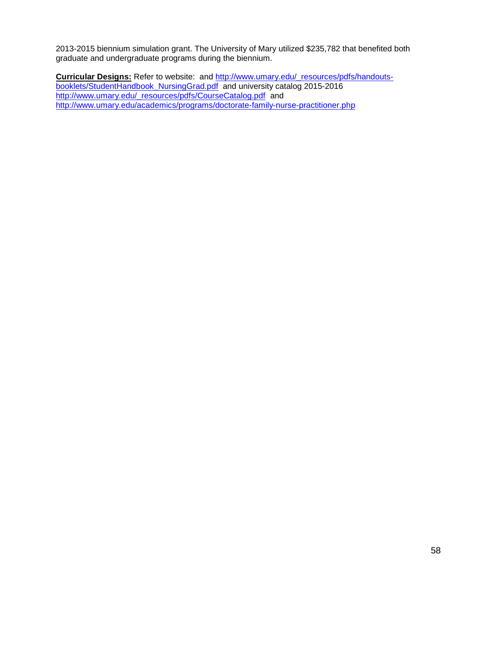2013-2015 biennium simulation grant. The University of Mary utilized \$235,782 that benefited both graduate and undergraduate programs during the biennium.

**Curricular Designs:** Refer to website: and [http://www.umary.edu/\\_resources/pdfs/handouts](http://www.umary.edu/_resources/pdfs/handouts-booklets/StudentHandbook_NursingGrad.pdf)[booklets/StudentHandbook\\_NursingGrad.pdf](http://www.umary.edu/_resources/pdfs/handouts-booklets/StudentHandbook_NursingGrad.pdf)and university catalog 2015-2016 [http://www.umary.edu/\\_resources/pdfs/CourseCatalog.pdf](http://www.umary.edu/_resources/pdfs/CourseCatalog.pdf) and <http://www.umary.edu/academics/programs/doctorate-family-nurse-practitioner.php>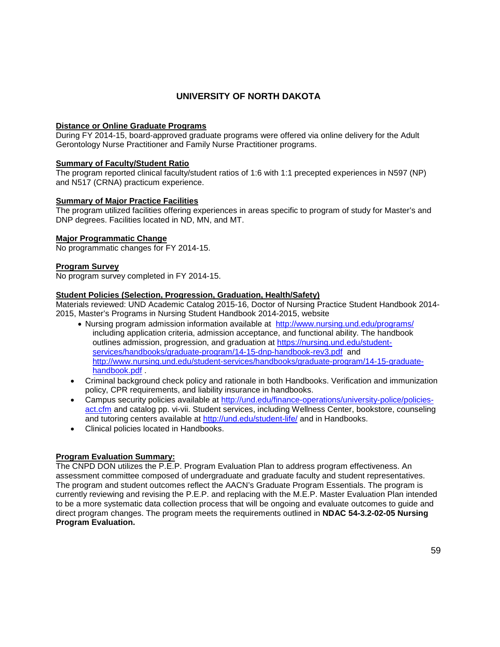### **UNIVERSITY OF NORTH DAKOTA**

#### **Distance or Online Graduate Programs**

During FY 2014-15, board-approved graduate programs were offered via online delivery for the Adult Gerontology Nurse Practitioner and Family Nurse Practitioner programs.

#### **Summary of Faculty/Student Ratio**

The program reported clinical faculty/student ratios of 1:6 with 1:1 precepted experiences in N597 (NP) and N517 (CRNA) practicum experience.

#### **Summary of Major Practice Facilities**

The program utilized facilities offering experiences in areas specific to program of study for Master's and DNP degrees. Facilities located in ND, MN, and MT.

#### **Major Programmatic Change**

No programmatic changes for FY 2014-15.

#### **Program Survey**

No program survey completed in FY 2014-15.

#### **Student Policies (Selection, Progression, Graduation, Health/Safety)**

Materials reviewed: UND Academic Catalog 2015-16, Doctor of Nursing Practice Student Handbook 2014- 2015, Master's Programs in Nursing Student Handbook 2014-2015, website

- Nursing program admission information available at <http://www.nursing.und.edu/programs/> including application criteria, admission acceptance, and functional ability. The handbook outlines admission, progression, and graduation at [https://nursing.und.edu/student](https://nursing.und.edu/student-services/handbooks/graduate-program/14-15-dnp-handbook-rev3.pdf)[services/handbooks/graduate-program/14-15-dnp-handbook-rev3.pdf](https://nursing.und.edu/student-services/handbooks/graduate-program/14-15-dnp-handbook-rev3.pdf) and [http://www.nursing.und.edu/student-services/handbooks/graduate-program/14-15-graduate](http://www.nursing.und.edu/student-services/handbooks/graduate-program/14-15-graduate-handbook.pdf)[handbook.pdf](http://www.nursing.und.edu/student-services/handbooks/graduate-program/14-15-graduate-handbook.pdf) .
- Criminal background check policy and rationale in both Handbooks. Verification and immunization policy, CPR requirements, and liability insurance in handbooks.
- Campus security policies available at [http://und.edu/finance-operations/university-police/policies](http://und.edu/finance-operations/university-police/policies-act.cfm)[act.cfm](http://und.edu/finance-operations/university-police/policies-act.cfm) and catalog pp. vi-vii. Student services, including Wellness Center, bookstore, counseling and tutoring centers available at<http://und.edu/student-life/> and in Handbooks.
- Clinical policies located in Handbooks.

#### **Program Evaluation Summary:**

The CNPD DON utilizes the P.E.P. Program Evaluation Plan to address program effectiveness. An assessment committee composed of undergraduate and graduate faculty and student representatives. The program and student outcomes reflect the AACN's Graduate Program Essentials. The program is currently reviewing and revising the P.E.P. and replacing with the M.E.P. Master Evaluation Plan intended to be a more systematic data collection process that will be ongoing and evaluate outcomes to guide and direct program changes. The program meets the requirements outlined in **NDAC 54-3.2-02-05 Nursing Program Evaluation.**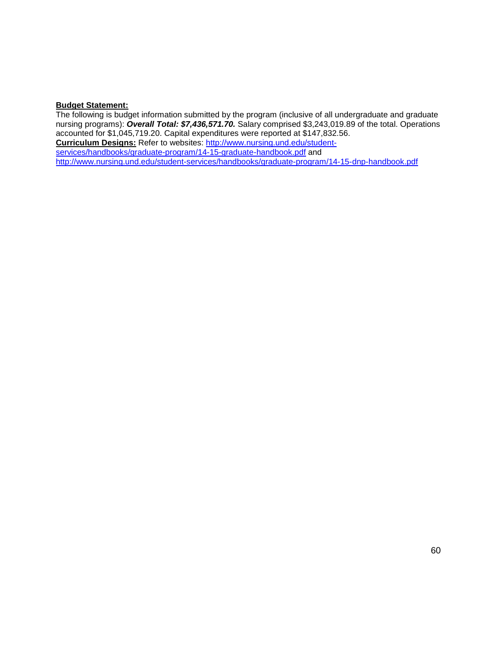#### **Budget Statement:**

The following is budget information submitted by the program (inclusive of all undergraduate and graduate nursing programs): *Overall Total: \$7,436,571.70.* Salary comprised \$3,243,019.89 of the total. Operations accounted for \$1,045,719.20. Capital expenditures were reported at \$147,832.56. **Curriculum Designs:** Refer to websites: [http://www.nursing.und.edu/student](http://www.nursing.und.edu/student-services/handbooks/graduate-program/14-15-graduate-handbook.pdf)[services/handbooks/graduate-program/14-15-graduate-handbook.pdf](http://www.nursing.und.edu/student-services/handbooks/graduate-program/14-15-graduate-handbook.pdf) and <http://www.nursing.und.edu/student-services/handbooks/graduate-program/14-15-dnp-handbook.pdf>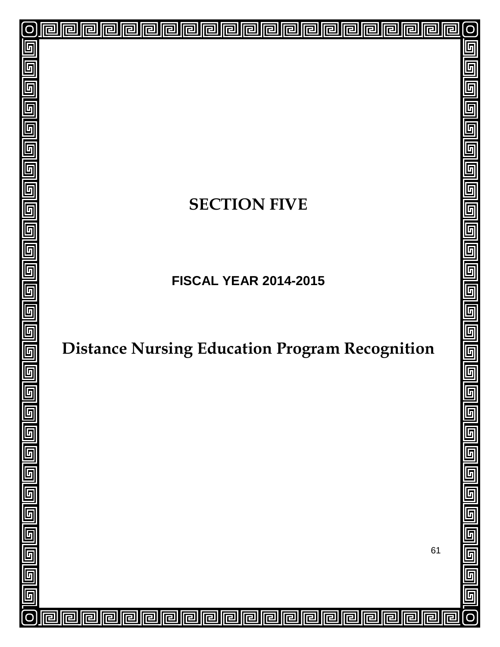# **SECTION FIVE**

回

린

已

囘

린

戸

戸

冋

囘

囘

囘

同

囘

 $\overline{\mathbf{r}}$ 

囘

冋

lr

冋

厄

冋

囘

己

互

 $\overline{\mathsf{F}}$ 

 $\overline{\mathbb{F}}$ 

匠

5

 $\overline{\mathsf{F}}$ 

5

 $\overline{\mathbb{F}}$ 

厅

 $\overline{\mathbb{F}}$ 

 $\overline{\mathbb{F}}$ 

 $\overline{\mathsf{F}}$ 

6

 $\overline{\mathsf{L}}$ 

 $\overline{\mathsf{F}}$ 

 $\overline{\mathfrak{h}}$ 

匠

回

回

回

囘

厄

모

**FISCAL YEAR 2014-2015**

# **Distance Nursing Education Program Recognition**

61

 $\overline{\mathsf{L}}$ 

互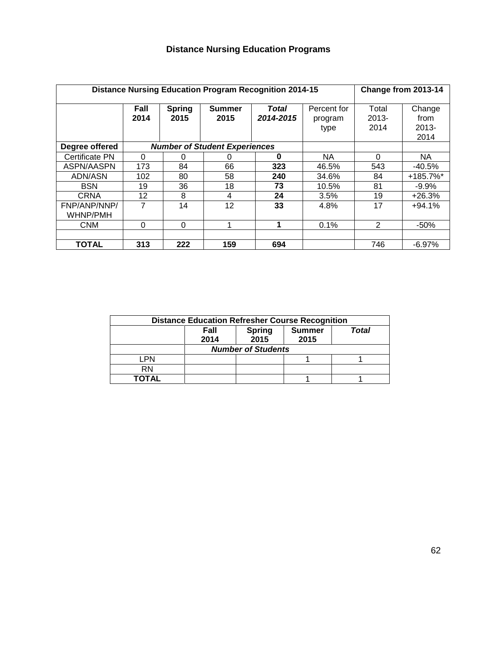| <b>Distance Nursing Education Program Recognition 2014-15</b> | Change from 2013-14 |                       |                                      |                           |                                |                           |                                    |
|---------------------------------------------------------------|---------------------|-----------------------|--------------------------------------|---------------------------|--------------------------------|---------------------------|------------------------------------|
|                                                               | Fall<br>2014        | <b>Spring</b><br>2015 | <b>Summer</b><br>2015                | <b>Total</b><br>2014-2015 | Percent for<br>program<br>type | Total<br>$2013 -$<br>2014 | Change<br>from<br>$2013 -$<br>2014 |
| Degree offered                                                |                     |                       | <b>Number of Student Experiences</b> |                           |                                |                           |                                    |
| Certificate PN                                                | 0                   | 0                     | O                                    | $\bf{0}$                  | <b>NA</b>                      | 0                         | <b>NA</b>                          |
| ASPN/AASPN                                                    | 173                 | 84                    | 66                                   | 323                       | 46.5%                          | 543                       | $-40.5%$                           |
| ADN/ASN                                                       | 102                 | 80                    | 58                                   | 240                       | 34.6%                          | 84                        | $+185.7\%$ <sup>*</sup>            |
| <b>BSN</b>                                                    | 19                  | 36                    | 18                                   | 73                        | 10.5%                          | 81                        | $-9.9\%$                           |
| <b>CRNA</b>                                                   | 12                  | 8                     | 4                                    | 24                        | 3.5%                           | 19                        | $+26.3%$                           |
| FNP/ANP/NNP/<br><b>WHNP/PMH</b>                               | 7                   | 14                    | 12                                   | 33                        | 4.8%                           | 17                        | $+94.1%$                           |
| <b>CNM</b>                                                    | 0                   | $\Omega$              |                                      | 1                         | 0.1%                           | 2                         | $-50%$                             |
|                                                               |                     |                       |                                      |                           |                                |                           |                                    |
| <b>TOTAL</b>                                                  | 313                 | 222                   | 159                                  | 694                       |                                | 746                       | $-6.97%$                           |

| <b>Distance Education Refresher Course Recognition</b> |                           |       |  |  |  |  |  |  |  |  |
|--------------------------------------------------------|---------------------------|-------|--|--|--|--|--|--|--|--|
|                                                        | Fall<br>2014              | Total |  |  |  |  |  |  |  |  |
|                                                        | <b>Number of Students</b> |       |  |  |  |  |  |  |  |  |
| LPN                                                    |                           |       |  |  |  |  |  |  |  |  |
| <b>RN</b>                                              |                           |       |  |  |  |  |  |  |  |  |
| ΤΟΤΑL                                                  |                           |       |  |  |  |  |  |  |  |  |